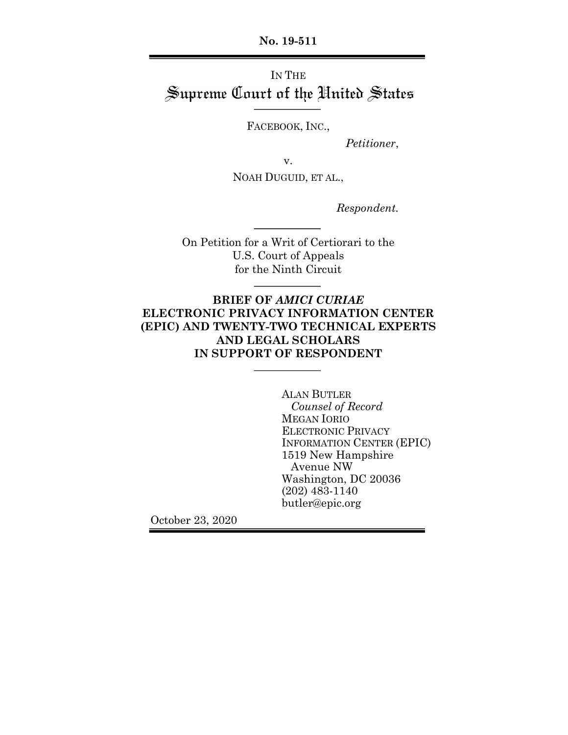**No. 19-511**

# IN THE Supreme Court of the United States

FACEBOOK, INC.,

*Petitioner*,

v.

NOAH DUGUID, ET AL.,

*Respondent.*

On Petition for a Writ of Certiorari to the U.S. Court of Appeals for the Ninth Circuit

## **BRIEF OF** *AMICI CURIAE* **ELECTRONIC PRIVACY INFORMATION CENTER (EPIC) AND TWENTY-TWO TECHNICAL EXPERTS AND LEGAL SCHOLARS IN SUPPORT OF RESPONDENT**

ALAN BUTLER *Counsel of Record* MEGAN IORIO ELECTRONIC PRIVACY INFORMATION CENTER (EPIC) 1519 New Hampshire Avenue NW Washington, DC 20036 (202) 483-1140 butler@epic.org

October 23, 2020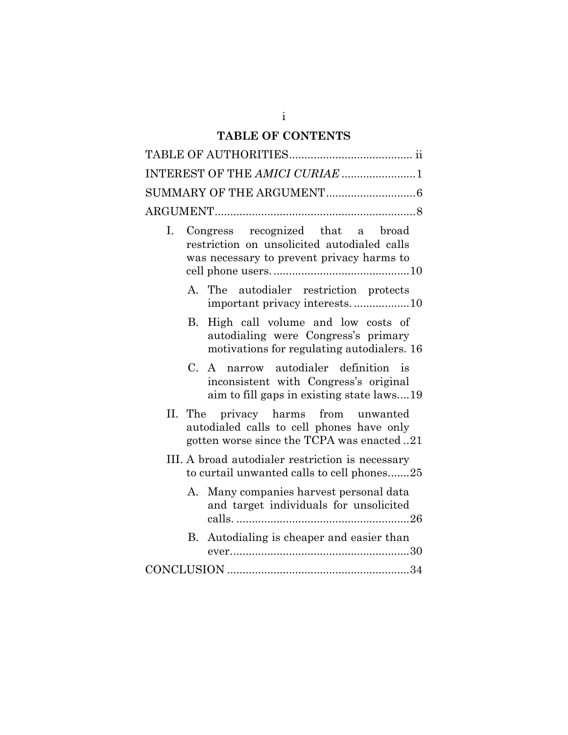## **TABLE OF CONTENTS**

|                |             | INTEREST OF THE AMICI CURIAE 1                                                                                                 |
|----------------|-------------|--------------------------------------------------------------------------------------------------------------------------------|
|                |             |                                                                                                                                |
|                |             |                                                                                                                                |
| $\mathbf{I}$ . |             | Congress recognized that a broad<br>restriction on unsolicited autodialed calls<br>was necessary to prevent privacy harms to   |
|                | A.          | The autodialer restriction protects<br>important privacy interests10                                                           |
|                | B.          | High call volume and low costs of<br>autodialing were Congress's primary<br>motivations for regulating autodialers. 16         |
|                | $C_{\cdot}$ | A narrow autodialer definition is<br>inconsistent with Congress's original<br>aim to fill gaps in existing state laws19        |
|                |             | II. The privacy harms from unwanted<br>autodialed calls to cell phones have only<br>gotten worse since the TCPA was enacted 21 |
|                |             | III. A broad autodialer restriction is necessary<br>to curtail unwanted calls to cell phones25                                 |
|                | А.          | Many companies harvest personal data<br>and target individuals for unsolicited                                                 |
|                | В.          | Autodialing is cheaper and easier than                                                                                         |
|                |             |                                                                                                                                |

i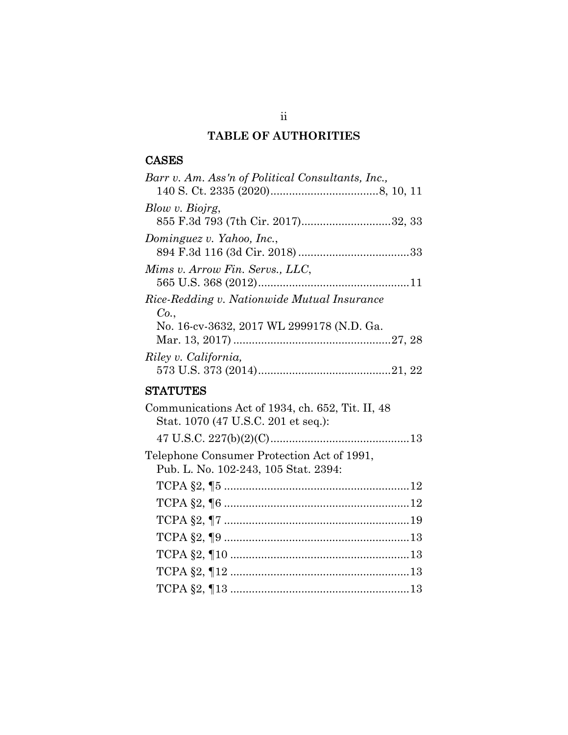## **TABLE OF AUTHORITIES**

## CASES

| Barr v. Am. Ass'n of Political Consultants, Inc., |
|---------------------------------------------------|
|                                                   |
| Blow v. Biojrg,                                   |
| 855 F.3d 793 (7th Cir. 2017)32, 33                |
| Dominguez v. Yahoo, Inc.,                         |
|                                                   |
| Mims v. Arrow Fin. Servs., LLC,                   |
|                                                   |
| Rice-Redding v. Nationwide Mutual Insurance       |
| Co.,                                              |
| No. 16-cv-3632, 2017 WL 2999178 (N.D. Ga.         |
|                                                   |
| Riley v. California,                              |
|                                                   |

## **STATUTES**

| Communications Act of 1934, ch. 652, Tit. II, 48<br>Stat. 1070 (47 U.S.C. 201 et seq.): |  |
|-----------------------------------------------------------------------------------------|--|
|                                                                                         |  |
| Telephone Consumer Protection Act of 1991,<br>Pub. L. No. 102-243, 105 Stat. 2394:      |  |
|                                                                                         |  |
|                                                                                         |  |
|                                                                                         |  |
|                                                                                         |  |
|                                                                                         |  |
|                                                                                         |  |
|                                                                                         |  |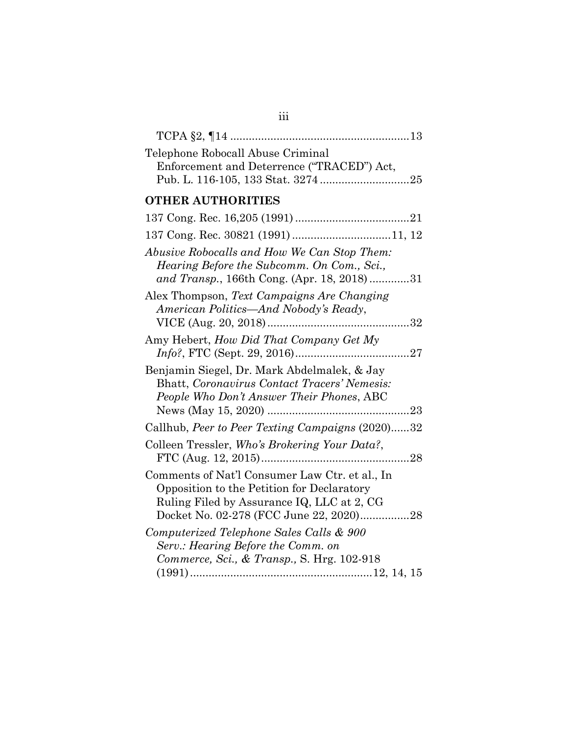| Telephone Robocall Abuse Criminal<br>Enforcement and Deterrence ("TRACED") Act,                                                                                                       |
|---------------------------------------------------------------------------------------------------------------------------------------------------------------------------------------|
| <b>OTHER AUTHORITIES</b>                                                                                                                                                              |
|                                                                                                                                                                                       |
|                                                                                                                                                                                       |
| Abusive Robocalls and How We Can Stop Them:<br>Hearing Before the Subcomm. On Com., Sci.,<br>and Transp., 166th Cong. (Apr. 18, 2018)31                                               |
| Alex Thompson, Text Campaigns Are Changing<br>American Politics—And Nobody's Ready,                                                                                                   |
| Amy Hebert, <i>How Did That Company Get My</i>                                                                                                                                        |
| Benjamin Siegel, Dr. Mark Abdelmalek, & Jay<br>Bhatt, Coronavirus Contact Tracers' Nemesis:<br>People Who Don't Answer Their Phones, ABC                                              |
| Callhub, Peer to Peer Texting Campaigns (2020)32                                                                                                                                      |
| Colleen Tressler, Who's Brokering Your Data?,                                                                                                                                         |
| Comments of Nat'l Consumer Law Ctr. et al., In<br>Opposition to the Petition for Declaratory<br>Ruling Filed by Assurance IQ, LLC at 2, CG<br>Docket No. 02-278 (FCC June 22, 2020)28 |
| Computerized Telephone Sales Calls & 900<br>Serv.: Hearing Before the Comm. on<br>Commerce, Sci., & Transp., S. Hrg. 102-918                                                          |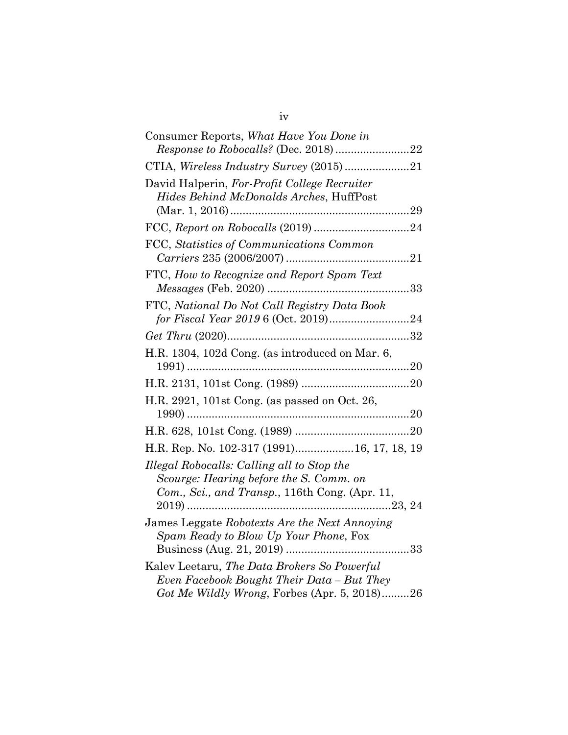| Consumer Reports, What Have You Done in                                                                                                   |  |
|-------------------------------------------------------------------------------------------------------------------------------------------|--|
| CTIA, Wireless Industry Survey (2015)21                                                                                                   |  |
| David Halperin, For-Profit College Recruiter<br>Hides Behind McDonalds Arches, HuffPost                                                   |  |
|                                                                                                                                           |  |
| FCC, Statistics of Communications Common                                                                                                  |  |
| FTC, How to Recognize and Report Spam Text                                                                                                |  |
| FTC, National Do Not Call Registry Data Book                                                                                              |  |
|                                                                                                                                           |  |
| H.R. 1304, 102d Cong. (as introduced on Mar. 6,                                                                                           |  |
|                                                                                                                                           |  |
| H.R. 2921, 101st Cong. (as passed on Oct. 26,                                                                                             |  |
|                                                                                                                                           |  |
| H.R. Rep. No. 102-317 (1991)16, 17, 18, 19                                                                                                |  |
| Illegal Robocalls: Calling all to Stop the<br>Scourge: Hearing before the S. Comm. on<br>Com., Sci., and Transp., 116th Cong. (Apr. 11,   |  |
| James Leggate Robotexts Are the Next Annoying<br>Spam Ready to Blow Up Your Phone, Fox                                                    |  |
| Kalev Leetaru, The Data Brokers So Powerful<br>Even Facebook Bought Their Data – But They<br>Got Me Wildly Wrong, Forbes (Apr. 5, 2018)26 |  |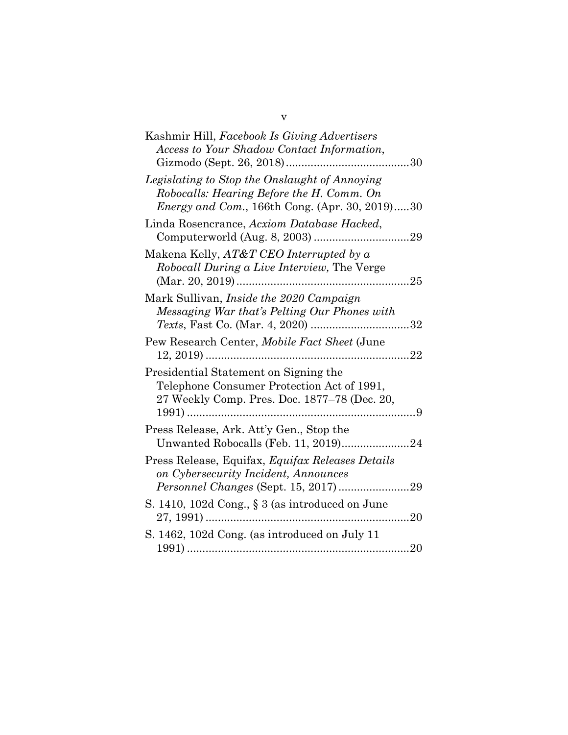| Kashmir Hill, Facebook Is Giving Advertisers<br>Access to Your Shadow Contact Information,                                                           |    |
|------------------------------------------------------------------------------------------------------------------------------------------------------|----|
| Legislating to Stop the Onslaught of Annoying<br>Robocalls: Hearing Before the H. Comm. On<br><i>Energy and Com.</i> , 166th Cong. (Apr. 30, 2019)30 |    |
| Linda Rosencrance, Acxiom Database Hacked,                                                                                                           |    |
| Makena Kelly, AT&T CEO Interrupted by a<br><i>Robocall During a Live Interview</i> , The Verge                                                       |    |
| Mark Sullivan, <i>Inside the 2020 Campaign</i><br>Messaging War that's Pelting Our Phones with                                                       |    |
| Pew Research Center, Mobile Fact Sheet (June                                                                                                         | 22 |
| Presidential Statement on Signing the<br>Telephone Consumer Protection Act of 1991,<br>27 Weekly Comp. Pres. Doc. 1877-78 (Dec. 20,                  |    |
| Press Release, Ark. Att'y Gen., Stop the                                                                                                             |    |
| Press Release, Equifax, <i>Equifax Releases Details</i><br>on Cybersecurity Incident, Announces                                                      |    |
| S. 1410, 102d Cong., § 3 (as introduced on June                                                                                                      | 20 |
| S. 1462, 102d Cong. (as introduced on July 11                                                                                                        |    |

v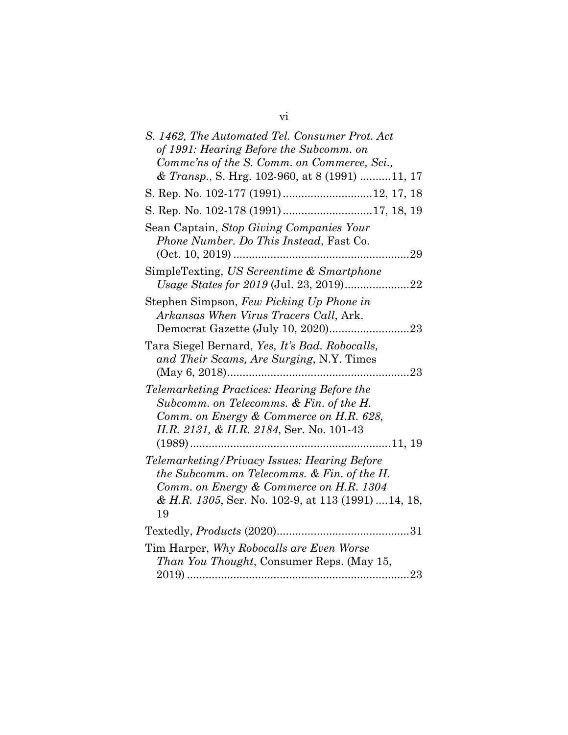| S. 1462, The Automated Tel. Consumer Prot. Act<br>of 1991: Hearing Before the Subcomm. on<br>Comme'ns of the S. Comm. on Commerce, Sci.,<br>& Transp., S. Hrg. 102-960, at 8 (1991) 11, 17          |
|-----------------------------------------------------------------------------------------------------------------------------------------------------------------------------------------------------|
|                                                                                                                                                                                                     |
| S. Rep. No. 102-178 (1991)17, 18, 19                                                                                                                                                                |
| Sean Captain, Stop Giving Companies Your<br>Phone Number. Do This Instead, Fast Co.<br>$(Oct. 10, 2019)$<br>29                                                                                      |
| SimpleTexting, US Screentime & Smartphone<br>.22                                                                                                                                                    |
| Stephen Simpson, Few Picking Up Phone in<br>Arkansas When Virus Tracers Call, Ark.                                                                                                                  |
| Tara Siegel Bernard, Yes, It's Bad. Robocalls,<br>and Their Scams, Are Surging, N.Y. Times<br>23                                                                                                    |
| Telemarketing Practices: Hearing Before the<br>Subcomm. on Telecomms. & Fin. of the H.<br>Comm. on Energy & Commerce on H.R. 628,<br>H.R. 2131, & H.R. 2184, Ser. No. 101-43                        |
| Telemarketing/Privacy Issues: Hearing Before<br>the Subcomm. on Telecomms. & Fin. of the H.<br>Comm. on Energy & Commerce on H.R. 1304<br>& H.R. 1305, Ser. No. 102-9, at 113 (1991)  14, 18,<br>19 |
|                                                                                                                                                                                                     |
| Tim Harper, Why Robocalls are Even Worse<br><i>Than You Thought, Consumer Reps. (May 15,</i>                                                                                                        |

vi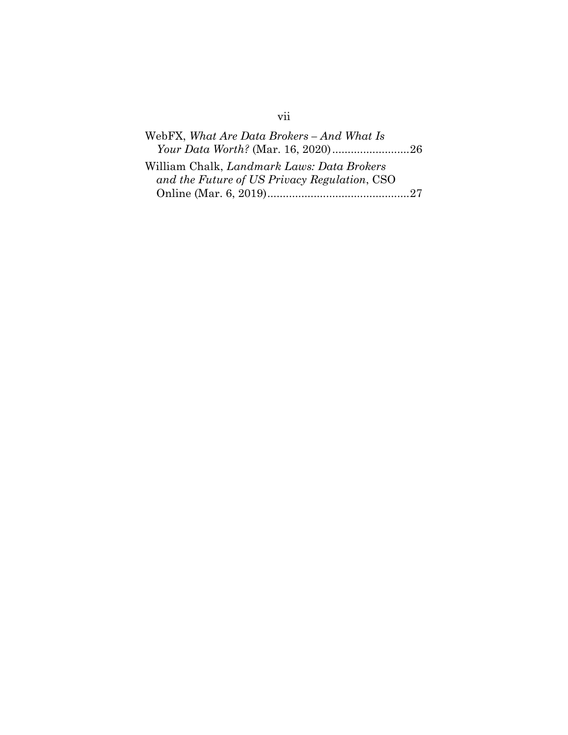| WebFX, What Are Data Brokers - And What Is   |  |
|----------------------------------------------|--|
| Your Data Worth? (Mar. 16, 2020)26           |  |
| William Chalk, Landmark Laws: Data Brokers   |  |
| and the Future of US Privacy Regulation, CSO |  |
|                                              |  |

# vii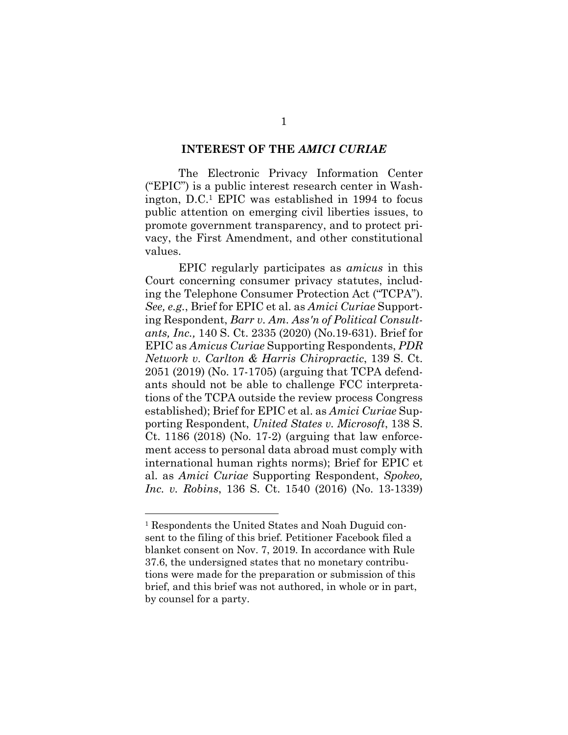#### **INTEREST OF THE** *AMICI CURIAE*

The Electronic Privacy Information Center ("EPIC") is a public interest research center in Washington, D.C.1 EPIC was established in 1994 to focus public attention on emerging civil liberties issues, to promote government transparency, and to protect privacy, the First Amendment, and other constitutional values.

EPIC regularly participates as *amicus* in this Court concerning consumer privacy statutes, including the Telephone Consumer Protection Act ("TCPA"). *See, e.g.*, Brief for EPIC et al. as *Amici Curiae* Supporting Respondent, *Barr v. Am. Ass'n of Political Consultants, Inc.,* 140 S. Ct. 2335 (2020) (No.19-631). Brief for EPIC as *Amicus Curiae* Supporting Respondents, *PDR Network v. Carlton & Harris Chiropractic*, 139 S. Ct. 2051 (2019) (No. 17-1705) (arguing that TCPA defendants should not be able to challenge FCC interpretations of the TCPA outside the review process Congress established); Brief for EPIC et al. as *Amici Curiae* Supporting Respondent, *United States v. Microsoft*, 138 S. Ct. 1186 (2018) (No. 17-2) (arguing that law enforcement access to personal data abroad must comply with international human rights norms); Brief for EPIC et al. as *Amici Curiae* Supporting Respondent, *Spokeo, Inc. v. Robins*, 136 S. Ct. 1540 (2016) (No. 13-1339)

<sup>&</sup>lt;sup>1</sup> Respondents the United States and Noah Duguid consent to the filing of this brief. Petitioner Facebook filed a blanket consent on Nov. 7, 2019. In accordance with Rule 37.6, the undersigned states that no monetary contributions were made for the preparation or submission of this brief, and this brief was not authored, in whole or in part, by counsel for a party.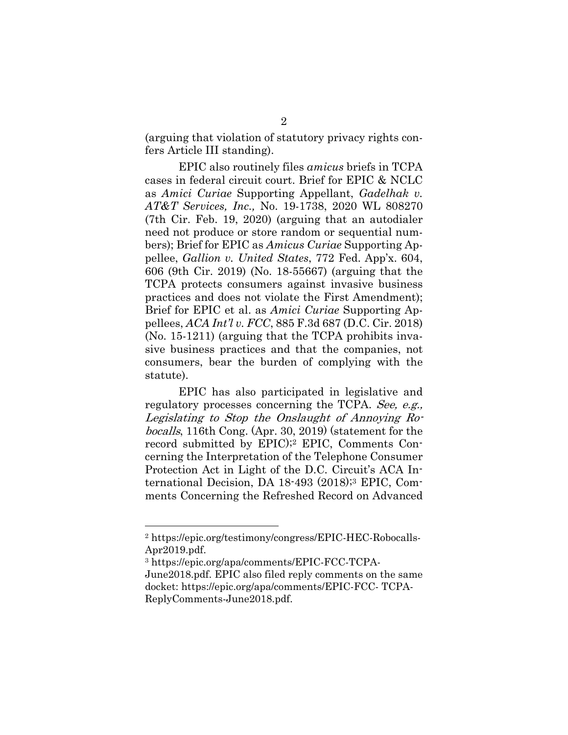(arguing that violation of statutory privacy rights confers Article III standing).

EPIC also routinely files *amicus* briefs in TCPA cases in federal circuit court. Brief for EPIC & NCLC as *Amici Curiae* Supporting Appellant, *Gadelhak v. AT&T Services, Inc.,* No. 19-1738, 2020 WL 808270 (7th Cir. Feb. 19, 2020) (arguing that an autodialer need not produce or store random or sequential numbers); Brief for EPIC as *Amicus Curiae* Supporting Appellee, *Gallion v. United States*, 772 Fed. App'x. 604, 606 (9th Cir. 2019) (No. 18-55667) (arguing that the TCPA protects consumers against invasive business practices and does not violate the First Amendment); Brief for EPIC et al. as *Amici Curiae* Supporting Appellees, *ACA Int'l v. FCC*, 885 F.3d 687 (D.C. Cir. 2018) (No. 15-1211) (arguing that the TCPA prohibits invasive business practices and that the companies, not consumers, bear the burden of complying with the statute).

EPIC has also participated in legislative and regulatory processes concerning the TCPA. See, e.g., Legislating to Stop the Onslaught of Annoying Robocalls, 116th Cong. (Apr. 30, 2019) (statement for the record submitted by EPIC);2 EPIC, Comments Concerning the Interpretation of the Telephone Consumer Protection Act in Light of the D.C. Circuit's ACA International Decision, DA 18-493 (2018);3 EPIC, Comments Concerning the Refreshed Record on Advanced

<sup>2</sup> https://epic.org/testimony/congress/EPIC-HEC-Robocalls-Apr2019.pdf.

<sup>3</sup> https://epic.org/apa/comments/EPIC-FCC-TCPA-June2018.pdf. EPIC also filed reply comments on the same docket: https://epic.org/apa/comments/EPIC-FCC- TCPA-ReplyComments-June2018.pdf.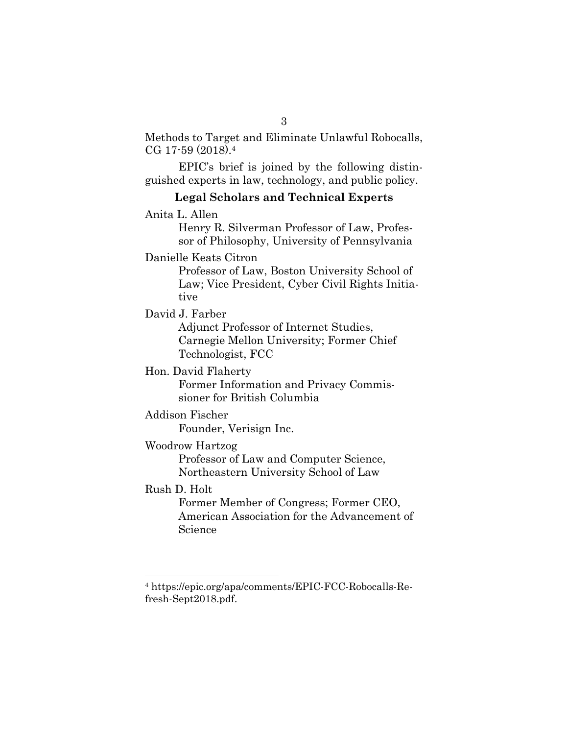Methods to Target and Eliminate Unlawful Robocalls, CG 17-59 (2018).4

EPIC's brief is joined by the following distinguished experts in law, technology, and public policy.

#### **Legal Scholars and Technical Experts**

Anita L. Allen

Henry R. Silverman Professor of Law, Professor of Philosophy, University of Pennsylvania

Danielle Keats Citron

Professor of Law, Boston University School of Law; Vice President, Cyber Civil Rights Initiative

David J. Farber

Adjunct Professor of Internet Studies, Carnegie Mellon University; Former Chief Technologist, FCC

#### Hon. David Flaherty

Former Information and Privacy Commissioner for British Columbia

#### Addison Fischer

Founder, Verisign Inc.

#### Woodrow Hartzog

Professor of Law and Computer Science, Northeastern University School of Law

## Rush D. Holt

Former Member of Congress; Former CEO, American Association for the Advancement of Science

<sup>4</sup> https://epic.org/apa/comments/EPIC-FCC-Robocalls-Refresh-Sept2018.pdf.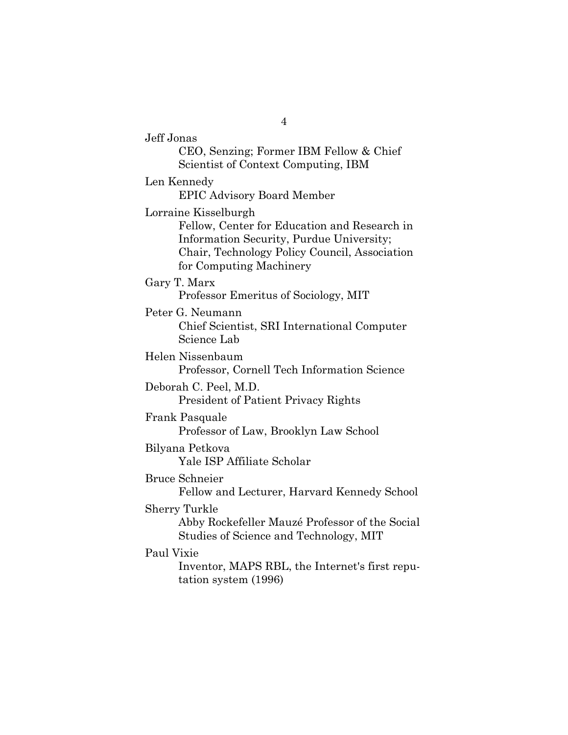Jeff Jonas CEO, Senzing; Former IBM Fellow & Chief Scientist of Context Computing, IBM Len Kennedy EPIC Advisory Board Member Lorraine Kisselburgh Fellow, Center for Education and Research in Information Security, Purdue University; Chair, Technology Policy Council, Association for Computing Machinery Gary T. Marx Professor Emeritus of Sociology, MIT Peter G. Neumann Chief Scientist, SRI International Computer Science Lab Helen Nissenbaum Professor, Cornell Tech Information Science Deborah C. Peel, M.D. President of Patient Privacy Rights Frank Pasquale Professor of Law, Brooklyn Law School Bilyana Petkova Yale ISP Affiliate Scholar Bruce Schneier Fellow and Lecturer, Harvard Kennedy School Sherry Turkle Abby Rockefeller Mauzé Professor of the Social Studies of Science and Technology, MIT Paul Vixie Inventor, MAPS RBL, the Internet's first reputation system (1996)

4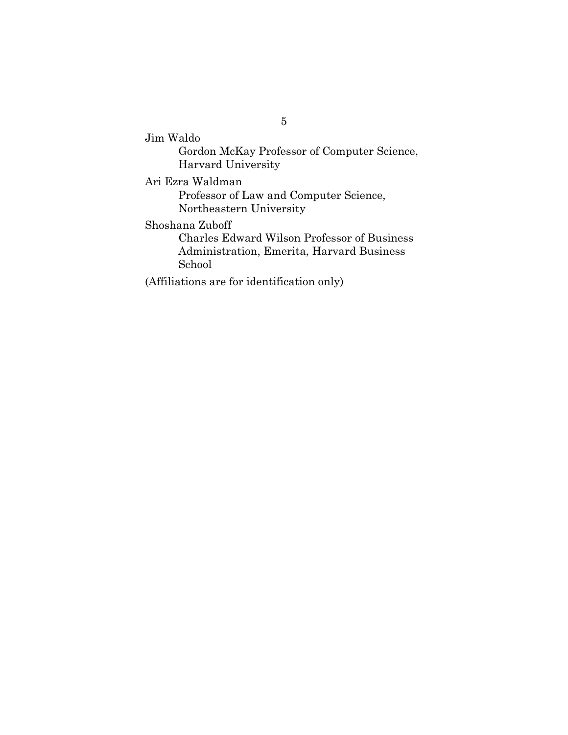Jim Waldo Gordon McKay Professor of Computer Science, Harvard University Ari Ezra Waldman Professor of Law and Computer Science, Northeastern University Shoshana Zuboff Charles Edward Wilson Professor of Business Administration, Emerita, Harvard Business School (Affiliations are for identification only)

5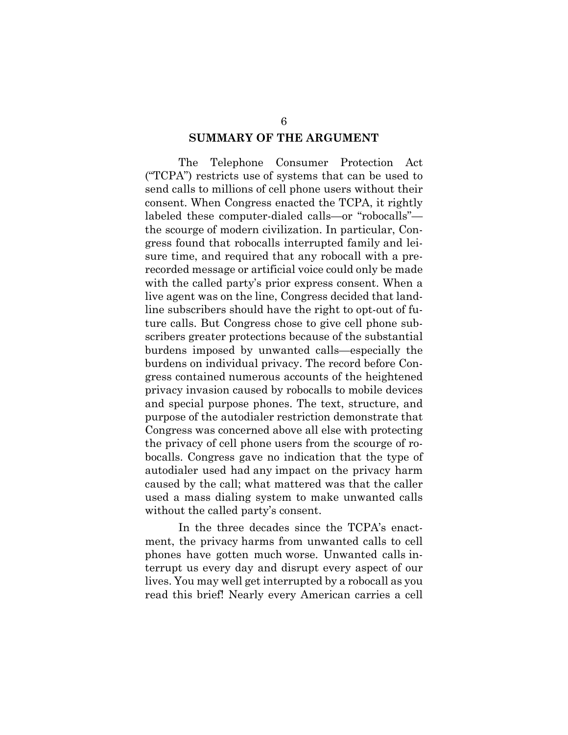#### **SUMMARY OF THE ARGUMENT**

The Telephone Consumer Protection Act ("TCPA") restricts use of systems that can be used to send calls to millions of cell phone users without their consent. When Congress enacted the TCPA, it rightly labeled these computer-dialed calls—or "robocalls" the scourge of modern civilization. In particular, Congress found that robocalls interrupted family and leisure time, and required that any robocall with a prerecorded message or artificial voice could only be made with the called party's prior express consent. When a live agent was on the line, Congress decided that landline subscribers should have the right to opt-out of future calls. But Congress chose to give cell phone subscribers greater protections because of the substantial burdens imposed by unwanted calls—especially the burdens on individual privacy. The record before Congress contained numerous accounts of the heightened privacy invasion caused by robocalls to mobile devices and special purpose phones. The text, structure, and purpose of the autodialer restriction demonstrate that Congress was concerned above all else with protecting the privacy of cell phone users from the scourge of robocalls. Congress gave no indication that the type of autodialer used had any impact on the privacy harm caused by the call; what mattered was that the caller used a mass dialing system to make unwanted calls without the called party's consent.

In the three decades since the TCPA's enactment, the privacy harms from unwanted calls to cell phones have gotten much worse. Unwanted calls interrupt us every day and disrupt every aspect of our lives. You may well get interrupted by a robocall as you read this brief! Nearly every American carries a cell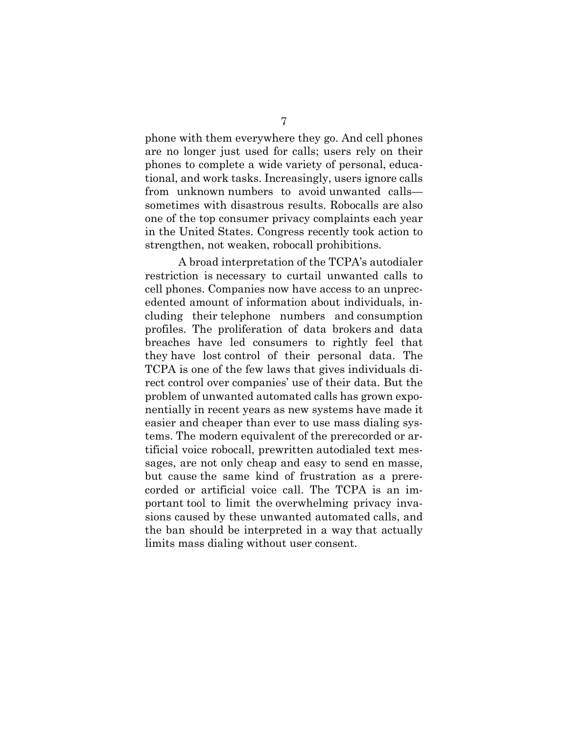phone with them everywhere they go. And cell phones are no longer just used for calls; users rely on their phones to complete a wide variety of personal, educational, and work tasks. Increasingly, users ignore calls from unknown numbers to avoid unwanted calls sometimes with disastrous results. Robocalls are also one of the top consumer privacy complaints each year in the United States. Congress recently took action to strengthen, not weaken, robocall prohibitions.

A broad interpretation of the TCPA's autodialer restriction is necessary to curtail unwanted calls to cell phones. Companies now have access to an unprecedented amount of information about individuals, including their telephone numbers and consumption profiles. The proliferation of data brokers and data breaches have led consumers to rightly feel that they have lost control of their personal data. The TCPA is one of the few laws that gives individuals direct control over companies' use of their data. But the problem of unwanted automated calls has grown exponentially in recent years as new systems have made it easier and cheaper than ever to use mass dialing systems. The modern equivalent of the prerecorded or artificial voice robocall, prewritten autodialed text messages, are not only cheap and easy to send en masse, but cause the same kind of frustration as a prerecorded or artificial voice call. The TCPA is an important tool to limit the overwhelming privacy invasions caused by these unwanted automated calls, and the ban should be interpreted in a way that actually limits mass dialing without user consent.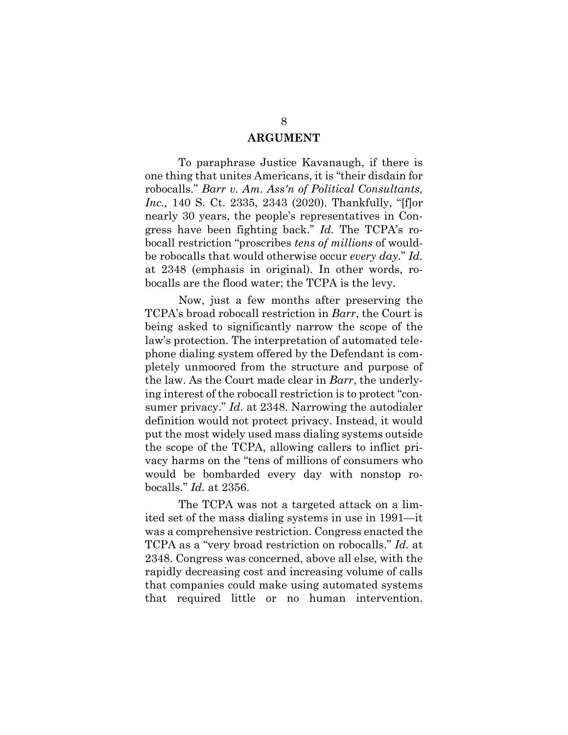#### **ARGUMENT**

To paraphrase Justice Kavanaugh, if there is one thing that unites Americans, it is "their disdain for robocalls." *Barr v. Am. Ass'n of Political Consultants, Inc.,* 140 S. Ct. 2335, 2343 (2020). Thankfully, "[f]or nearly 30 years, the people's representatives in Congress have been fighting back." *Id.* The TCPA's robocall restriction "proscribes *tens of millions* of wouldbe robocalls that would otherwise occur *every day*." *Id.* at 2348 (emphasis in original). In other words, robocalls are the flood water; the TCPA is the levy.

Now, just a few months after preserving the TCPA's broad robocall restriction in *Barr*, the Court is being asked to significantly narrow the scope of the law's protection. The interpretation of automated telephone dialing system offered by the Defendant is completely unmoored from the structure and purpose of the law. As the Court made clear in *Barr*, the underlying interest of the robocall restriction is to protect "consumer privacy." *Id.* at 2348. Narrowing the autodialer definition would not protect privacy. Instead, it would put the most widely used mass dialing systems outside the scope of the TCPA, allowing callers to inflict privacy harms on the "tens of millions of consumers who would be bombarded every day with nonstop robocalls." *Id.* at 2356.

The TCPA was not a targeted attack on a limited set of the mass dialing systems in use in 1991—it was a comprehensive restriction. Congress enacted the TCPA as a "very broad restriction on robocalls." *Id.* at 2348. Congress was concerned, above all else, with the rapidly decreasing cost and increasing volume of calls that companies could make using automated systems that required little or no human intervention.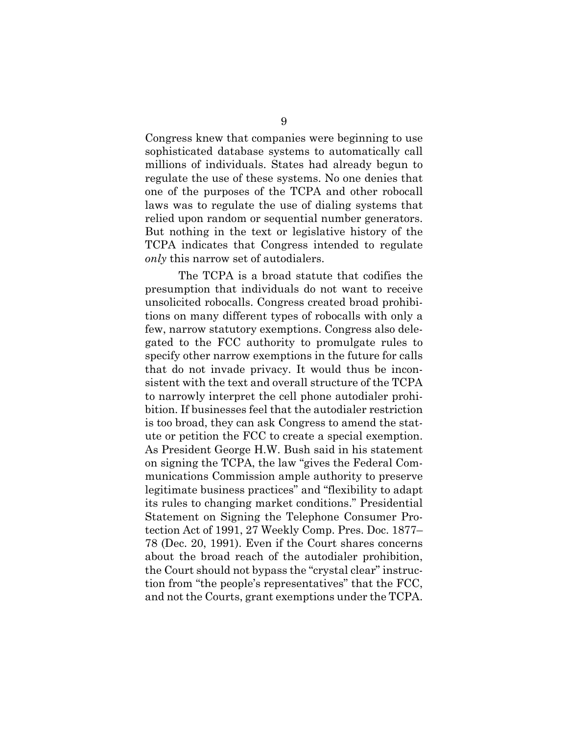Congress knew that companies were beginning to use sophisticated database systems to automatically call millions of individuals. States had already begun to regulate the use of these systems. No one denies that one of the purposes of the TCPA and other robocall laws was to regulate the use of dialing systems that relied upon random or sequential number generators. But nothing in the text or legislative history of the TCPA indicates that Congress intended to regulate *only* this narrow set of autodialers.

The TCPA is a broad statute that codifies the presumption that individuals do not want to receive unsolicited robocalls. Congress created broad prohibitions on many different types of robocalls with only a few, narrow statutory exemptions. Congress also delegated to the FCC authority to promulgate rules to specify other narrow exemptions in the future for calls that do not invade privacy. It would thus be inconsistent with the text and overall structure of the TCPA to narrowly interpret the cell phone autodialer prohibition. If businesses feel that the autodialer restriction is too broad, they can ask Congress to amend the statute or petition the FCC to create a special exemption. As President George H.W. Bush said in his statement on signing the TCPA, the law "gives the Federal Communications Commission ample authority to preserve legitimate business practices" and "flexibility to adapt its rules to changing market conditions." Presidential Statement on Signing the Telephone Consumer Protection Act of 1991, 27 Weekly Comp. Pres. Doc. 1877– 78 (Dec. 20, 1991). Even if the Court shares concerns about the broad reach of the autodialer prohibition, the Court should not bypass the "crystal clear" instruction from "the people's representatives" that the FCC, and not the Courts, grant exemptions under the TCPA.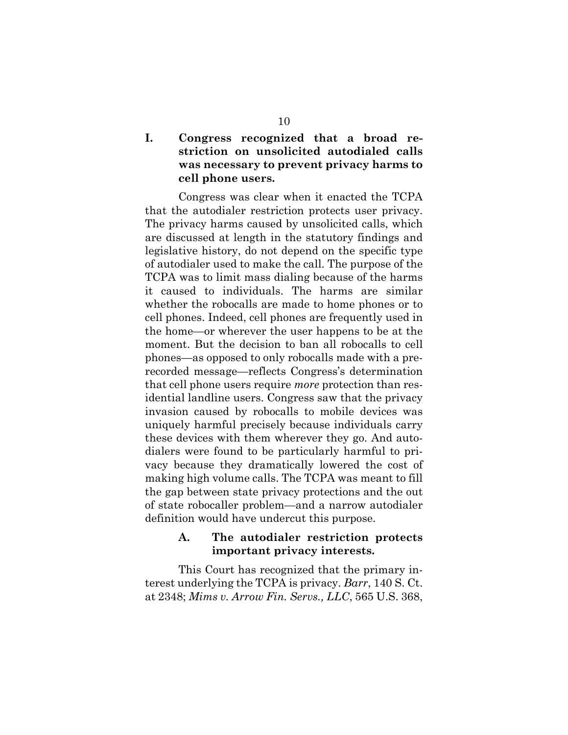## **I. Congress recognized that a broad restriction on unsolicited autodialed calls was necessary to prevent privacy harms to cell phone users.**

Congress was clear when it enacted the TCPA that the autodialer restriction protects user privacy. The privacy harms caused by unsolicited calls, which are discussed at length in the statutory findings and legislative history, do not depend on the specific type of autodialer used to make the call. The purpose of the TCPA was to limit mass dialing because of the harms it caused to individuals. The harms are similar whether the robocalls are made to home phones or to cell phones. Indeed, cell phones are frequently used in the home—or wherever the user happens to be at the moment. But the decision to ban all robocalls to cell phones—as opposed to only robocalls made with a prerecorded message—reflects Congress's determination that cell phone users require *more* protection than residential landline users. Congress saw that the privacy invasion caused by robocalls to mobile devices was uniquely harmful precisely because individuals carry these devices with them wherever they go. And autodialers were found to be particularly harmful to privacy because they dramatically lowered the cost of making high volume calls. The TCPA was meant to fill the gap between state privacy protections and the out of state robocaller problem—and a narrow autodialer definition would have undercut this purpose.

## **A. The autodialer restriction protects important privacy interests.**

This Court has recognized that the primary interest underlying the TCPA is privacy. *Barr*, 140 S. Ct. at 2348; *Mims v. Arrow Fin. Servs., LLC*, 565 U.S. 368,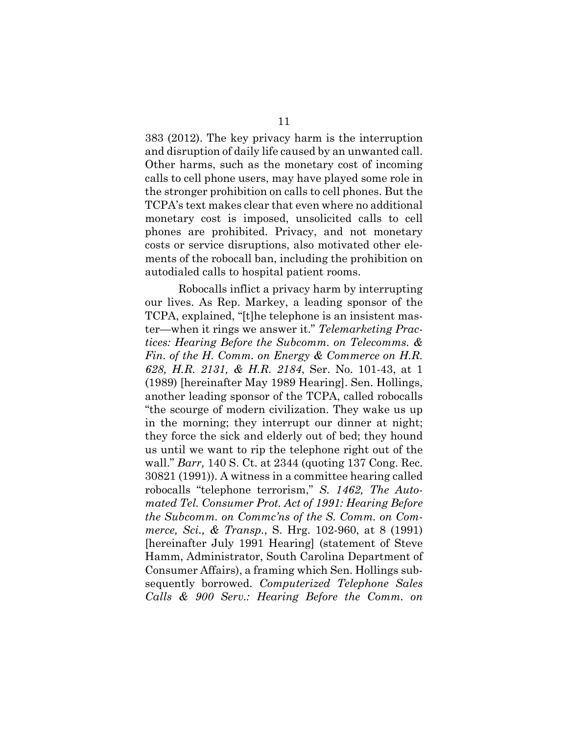383 (2012). The key privacy harm is the interruption and disruption of daily life caused by an unwanted call. Other harms, such as the monetary cost of incoming calls to cell phone users, may have played some role in the stronger prohibition on calls to cell phones. But the TCPA's text makes clear that even where no additional monetary cost is imposed, unsolicited calls to cell phones are prohibited. Privacy, and not monetary costs or service disruptions, also motivated other elements of the robocall ban, including the prohibition on autodialed calls to hospital patient rooms.

Robocalls inflict a privacy harm by interrupting our lives. As Rep. Markey, a leading sponsor of the TCPA, explained, "[t]he telephone is an insistent master—when it rings we answer it." *Telemarketing Practices: Hearing Before the Subcomm. on Telecomms. & Fin. of the H. Comm. on Energy & Commerce on H.R. 628, H.R. 2131, & H.R. 2184*, Ser. No. 101-43, at 1 (1989) [hereinafter May 1989 Hearing]. Sen. Hollings, another leading sponsor of the TCPA, called robocalls "the scourge of modern civilization. They wake us up in the morning; they interrupt our dinner at night; they force the sick and elderly out of bed; they hound us until we want to rip the telephone right out of the wall." *Barr,* 140 S. Ct. at 2344 (quoting 137 Cong. Rec. 30821 (1991)). A witness in a committee hearing called robocalls "telephone terrorism," *S. 1462, The Automated Tel. Consumer Prot. Act of 1991: Hearing Before the Subcomm. on Commc'ns of the S. Comm. on Commerce, Sci., & Transp.*, S. Hrg. 102-960, at 8 (1991) [hereinafter July 1991 Hearing] (statement of Steve Hamm, Administrator, South Carolina Department of Consumer Affairs), a framing which Sen. Hollings subsequently borrowed. *Computerized Telephone Sales Calls & 900 Serv.: Hearing Before the Comm. on*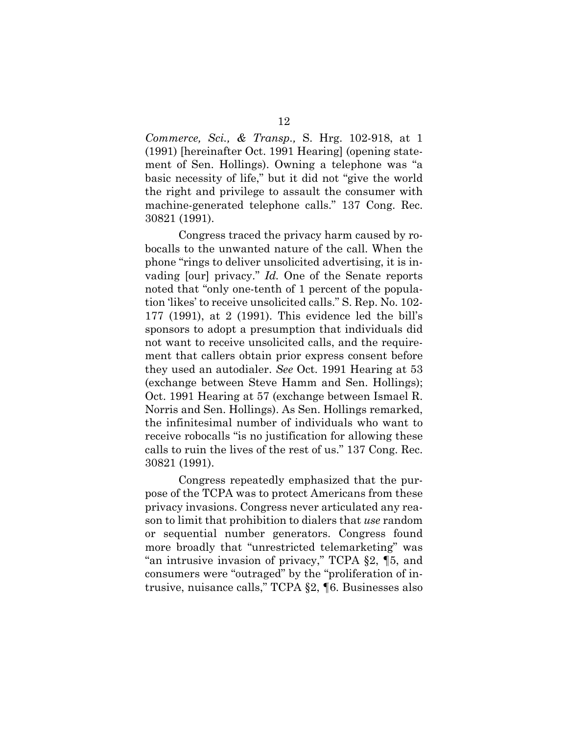*Commerce, Sci., & Transp.,* S. Hrg. 102-918, at 1 (1991) [hereinafter Oct. 1991 Hearing] (opening statement of Sen. Hollings). Owning a telephone was "a basic necessity of life," but it did not "give the world the right and privilege to assault the consumer with machine-generated telephone calls." 137 Cong. Rec. 30821 (1991).

Congress traced the privacy harm caused by robocalls to the unwanted nature of the call. When the phone "rings to deliver unsolicited advertising, it is invading [our] privacy." *Id.* One of the Senate reports noted that "only one-tenth of 1 percent of the population 'likes' to receive unsolicited calls." S. Rep. No. 102- 177 (1991), at 2 (1991). This evidence led the bill's sponsors to adopt a presumption that individuals did not want to receive unsolicited calls, and the requirement that callers obtain prior express consent before they used an autodialer. *See* Oct. 1991 Hearing at 53 (exchange between Steve Hamm and Sen. Hollings); Oct. 1991 Hearing at 57 (exchange between Ismael R. Norris and Sen. Hollings). As Sen. Hollings remarked, the infinitesimal number of individuals who want to receive robocalls "is no justification for allowing these calls to ruin the lives of the rest of us." 137 Cong. Rec. 30821 (1991).

Congress repeatedly emphasized that the purpose of the TCPA was to protect Americans from these privacy invasions. Congress never articulated any reason to limit that prohibition to dialers that *use* random or sequential number generators. Congress found more broadly that "unrestricted telemarketing" was "an intrusive invasion of privacy," TCPA §2, ¶5, and consumers were "outraged" by the "proliferation of intrusive, nuisance calls," TCPA §2, ¶6. Businesses also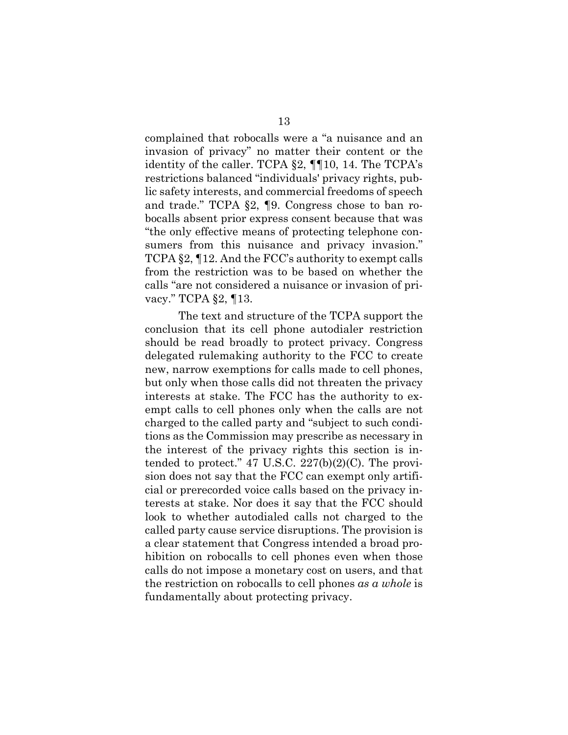complained that robocalls were a "a nuisance and an invasion of privacy" no matter their content or the identity of the caller. TCPA §2, ¶¶10, 14. The TCPA's restrictions balanced "individuals' privacy rights, public safety interests, and commercial freedoms of speech and trade." TCPA §2, ¶9. Congress chose to ban robocalls absent prior express consent because that was "the only effective means of protecting telephone consumers from this nuisance and privacy invasion." TCPA §2, ¶12. And the FCC's authority to exempt calls from the restriction was to be based on whether the calls "are not considered a nuisance or invasion of privacy." TCPA §2, ¶13.

The text and structure of the TCPA support the conclusion that its cell phone autodialer restriction should be read broadly to protect privacy. Congress delegated rulemaking authority to the FCC to create new, narrow exemptions for calls made to cell phones, but only when those calls did not threaten the privacy interests at stake. The FCC has the authority to exempt calls to cell phones only when the calls are not charged to the called party and "subject to such conditions as the Commission may prescribe as necessary in the interest of the privacy rights this section is intended to protect." 47 U.S.C.  $227(b)(2)(C)$ . The provision does not say that the FCC can exempt only artificial or prerecorded voice calls based on the privacy interests at stake. Nor does it say that the FCC should look to whether autodialed calls not charged to the called party cause service disruptions. The provision is a clear statement that Congress intended a broad prohibition on robocalls to cell phones even when those calls do not impose a monetary cost on users, and that the restriction on robocalls to cell phones *as a whole* is fundamentally about protecting privacy.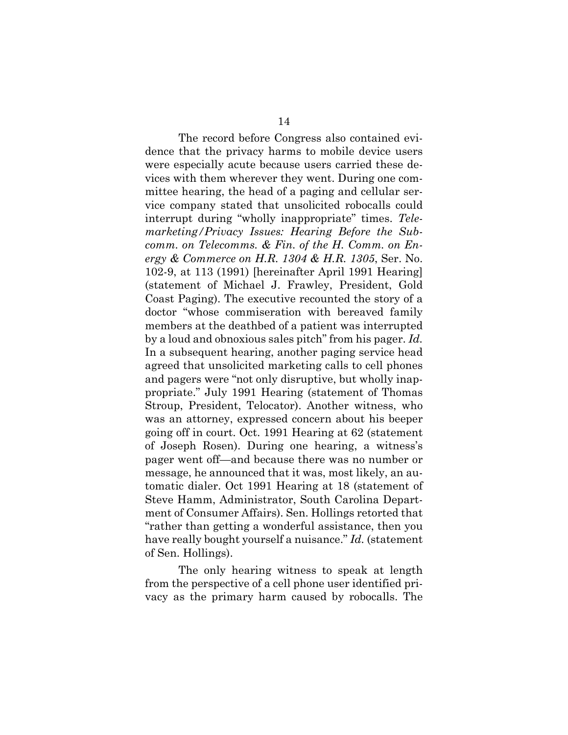The record before Congress also contained evidence that the privacy harms to mobile device users were especially acute because users carried these devices with them wherever they went. During one committee hearing, the head of a paging and cellular service company stated that unsolicited robocalls could interrupt during "wholly inappropriate" times. *Telemarketing/Privacy Issues: Hearing Before the Subcomm. on Telecomms. & Fin. of the H. Comm. on Energy & Commerce on H.R. 1304 & H.R. 1305*, Ser. No. 102-9, at 113 (1991) [hereinafter April 1991 Hearing] (statement of Michael J. Frawley, President, Gold Coast Paging). The executive recounted the story of a doctor "whose commiseration with bereaved family members at the deathbed of a patient was interrupted by a loud and obnoxious sales pitch" from his pager. *Id.* In a subsequent hearing, another paging service head agreed that unsolicited marketing calls to cell phones and pagers were "not only disruptive, but wholly inappropriate." July 1991 Hearing (statement of Thomas Stroup, President, Telocator). Another witness, who was an attorney, expressed concern about his beeper going off in court. Oct. 1991 Hearing at 62 (statement of Joseph Rosen). During one hearing, a witness's pager went off—and because there was no number or message, he announced that it was, most likely, an automatic dialer. Oct 1991 Hearing at 18 (statement of Steve Hamm, Administrator, South Carolina Department of Consumer Affairs). Sen. Hollings retorted that "rather than getting a wonderful assistance, then you have really bought yourself a nuisance." *Id.* (statement of Sen. Hollings).

The only hearing witness to speak at length from the perspective of a cell phone user identified privacy as the primary harm caused by robocalls. The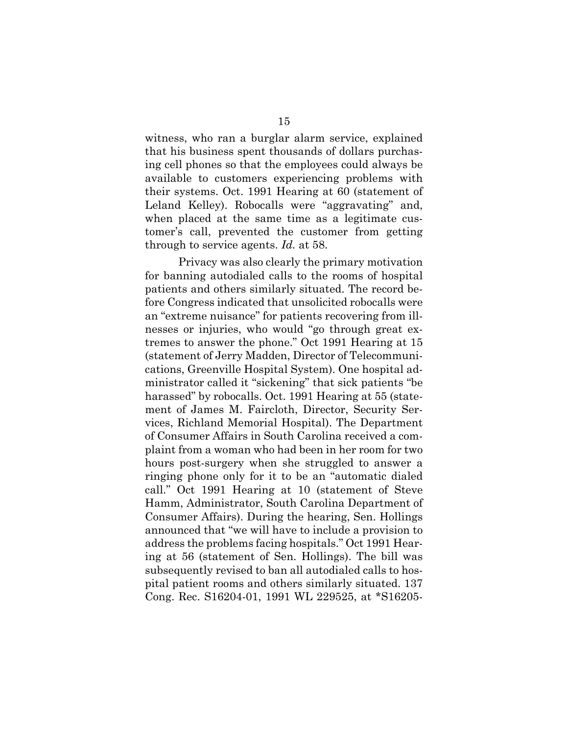witness, who ran a burglar alarm service, explained that his business spent thousands of dollars purchasing cell phones so that the employees could always be available to customers experiencing problems with their systems. Oct. 1991 Hearing at 60 (statement of Leland Kelley). Robocalls were "aggravating" and, when placed at the same time as a legitimate customer's call, prevented the customer from getting through to service agents. *Id.* at 58.

Privacy was also clearly the primary motivation for banning autodialed calls to the rooms of hospital patients and others similarly situated. The record before Congress indicated that unsolicited robocalls were an "extreme nuisance" for patients recovering from illnesses or injuries, who would "go through great extremes to answer the phone." Oct 1991 Hearing at 15 (statement of Jerry Madden, Director of Telecommunications, Greenville Hospital System). One hospital administrator called it "sickening" that sick patients "be harassed" by robocalls. Oct. 1991 Hearing at 55 (statement of James M. Faircloth, Director, Security Services, Richland Memorial Hospital). The Department of Consumer Affairs in South Carolina received a complaint from a woman who had been in her room for two hours post-surgery when she struggled to answer a ringing phone only for it to be an "automatic dialed call." Oct 1991 Hearing at 10 (statement of Steve Hamm, Administrator, South Carolina Department of Consumer Affairs). During the hearing, Sen. Hollings announced that "we will have to include a provision to address the problems facing hospitals." Oct 1991 Hearing at 56 (statement of Sen. Hollings). The bill was subsequently revised to ban all autodialed calls to hospital patient rooms and others similarly situated. 137 Cong. Rec. S16204-01, 1991 WL 229525, at \*S16205-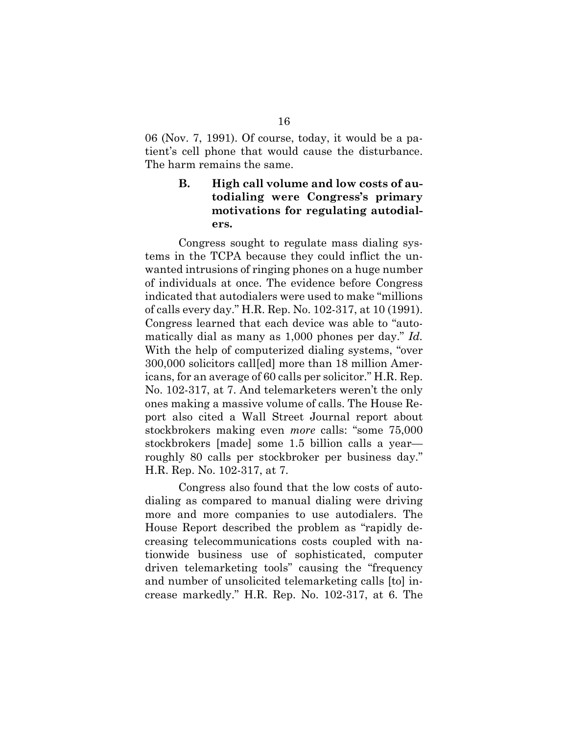06 (Nov. 7, 1991). Of course, today, it would be a patient's cell phone that would cause the disturbance. The harm remains the same.

## **B. High call volume and low costs of autodialing were Congress's primary motivations for regulating autodialers.**

Congress sought to regulate mass dialing systems in the TCPA because they could inflict the unwanted intrusions of ringing phones on a huge number of individuals at once. The evidence before Congress indicated that autodialers were used to make "millions of calls every day." H.R. Rep. No. 102-317, at 10 (1991). Congress learned that each device was able to "automatically dial as many as 1,000 phones per day." *Id.* With the help of computerized dialing systems, "over 300,000 solicitors call[ed] more than 18 million Americans, for an average of 60 calls per solicitor." H.R. Rep. No. 102-317, at 7. And telemarketers weren't the only ones making a massive volume of calls. The House Report also cited a Wall Street Journal report about stockbrokers making even *more* calls: "some 75,000 stockbrokers [made] some 1.5 billion calls a year roughly 80 calls per stockbroker per business day." H.R. Rep. No. 102-317, at 7.

Congress also found that the low costs of autodialing as compared to manual dialing were driving more and more companies to use autodialers. The House Report described the problem as "rapidly decreasing telecommunications costs coupled with nationwide business use of sophisticated, computer driven telemarketing tools" causing the "frequency and number of unsolicited telemarketing calls [to] increase markedly." H.R. Rep. No. 102-317, at 6. The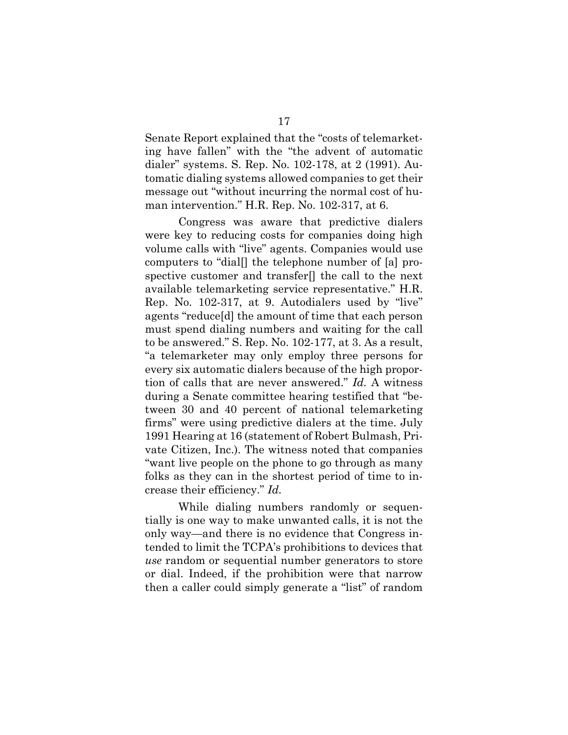Senate Report explained that the "costs of telemarketing have fallen" with the "the advent of automatic dialer" systems. S. Rep. No. 102-178, at 2 (1991). Automatic dialing systems allowed companies to get their message out "without incurring the normal cost of human intervention." H.R. Rep. No. 102-317, at 6.

Congress was aware that predictive dialers were key to reducing costs for companies doing high volume calls with "live" agents. Companies would use computers to "dial[] the telephone number of [a] prospective customer and transfer[] the call to the next available telemarketing service representative." H.R. Rep. No. 102-317, at 9. Autodialers used by "live" agents "reduce[d] the amount of time that each person must spend dialing numbers and waiting for the call to be answered." S. Rep. No. 102-177, at 3. As a result, "a telemarketer may only employ three persons for every six automatic dialers because of the high proportion of calls that are never answered." *Id.* A witness during a Senate committee hearing testified that "between 30 and 40 percent of national telemarketing firms" were using predictive dialers at the time. July 1991 Hearing at 16 (statement of Robert Bulmash, Private Citizen, Inc.). The witness noted that companies "want live people on the phone to go through as many folks as they can in the shortest period of time to increase their efficiency." *Id.*

While dialing numbers randomly or sequentially is one way to make unwanted calls, it is not the only way—and there is no evidence that Congress intended to limit the TCPA's prohibitions to devices that *use* random or sequential number generators to store or dial. Indeed, if the prohibition were that narrow then a caller could simply generate a "list" of random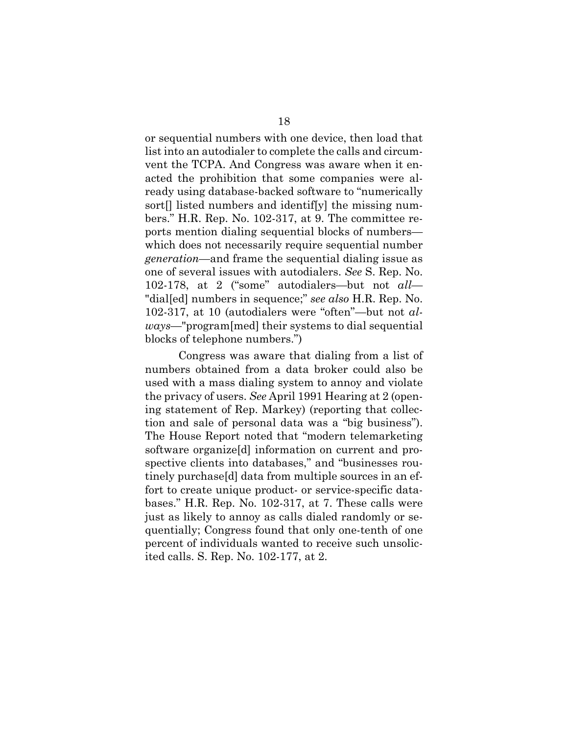or sequential numbers with one device, then load that list into an autodialer to complete the calls and circumvent the TCPA. And Congress was aware when it enacted the prohibition that some companies were already using database-backed software to "numerically sort<sup>[]</sup> listed numbers and identif[y] the missing numbers." H.R. Rep. No. 102-317, at 9. The committee reports mention dialing sequential blocks of numbers which does not necessarily require sequential number *generation*—and frame the sequential dialing issue as one of several issues with autodialers. *See* S. Rep. No. 102-178, at 2 ("some" autodialers—but not *all—* "dial[ed] numbers in sequence;" *see also* H.R. Rep. No. 102-317, at 10 (autodialers were "often"—but not *always*—"program[med] their systems to dial sequential blocks of telephone numbers.")

Congress was aware that dialing from a list of numbers obtained from a data broker could also be used with a mass dialing system to annoy and violate the privacy of users. *See* April 1991 Hearing at 2 (opening statement of Rep. Markey) (reporting that collection and sale of personal data was a "big business"). The House Report noted that "modern telemarketing software organize[d] information on current and prospective clients into databases," and "businesses routinely purchase[d] data from multiple sources in an effort to create unique product- or service-specific databases." H.R. Rep. No. 102-317, at 7. These calls were just as likely to annoy as calls dialed randomly or sequentially; Congress found that only one-tenth of one percent of individuals wanted to receive such unsolicited calls. S. Rep. No. 102-177, at 2.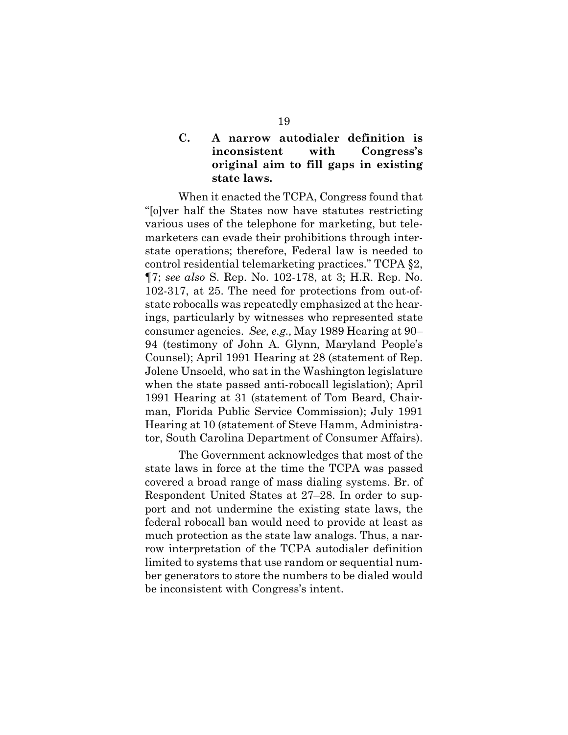## **C. A narrow autodialer definition is inconsistent with Congress's original aim to fill gaps in existing state laws.**

When it enacted the TCPA, Congress found that "[o]ver half the States now have statutes restricting various uses of the telephone for marketing, but telemarketers can evade their prohibitions through interstate operations; therefore, Federal law is needed to control residential telemarketing practices." TCPA §2, ¶7; *see also* S. Rep. No. 102-178, at 3; H.R. Rep. No. 102-317, at 25. The need for protections from out-ofstate robocalls was repeatedly emphasized at the hearings, particularly by witnesses who represented state consumer agencies. *See, e.g.,* May 1989 Hearing at 90– 94 (testimony of John A. Glynn, Maryland People's Counsel); April 1991 Hearing at 28 (statement of Rep. Jolene Unsoeld, who sat in the Washington legislature when the state passed anti-robocall legislation); April 1991 Hearing at 31 (statement of Tom Beard, Chairman, Florida Public Service Commission); July 1991 Hearing at 10 (statement of Steve Hamm, Administrator, South Carolina Department of Consumer Affairs).

The Government acknowledges that most of the state laws in force at the time the TCPA was passed covered a broad range of mass dialing systems. Br. of Respondent United States at 27–28. In order to support and not undermine the existing state laws, the federal robocall ban would need to provide at least as much protection as the state law analogs. Thus, a narrow interpretation of the TCPA autodialer definition limited to systems that use random or sequential number generators to store the numbers to be dialed would be inconsistent with Congress's intent.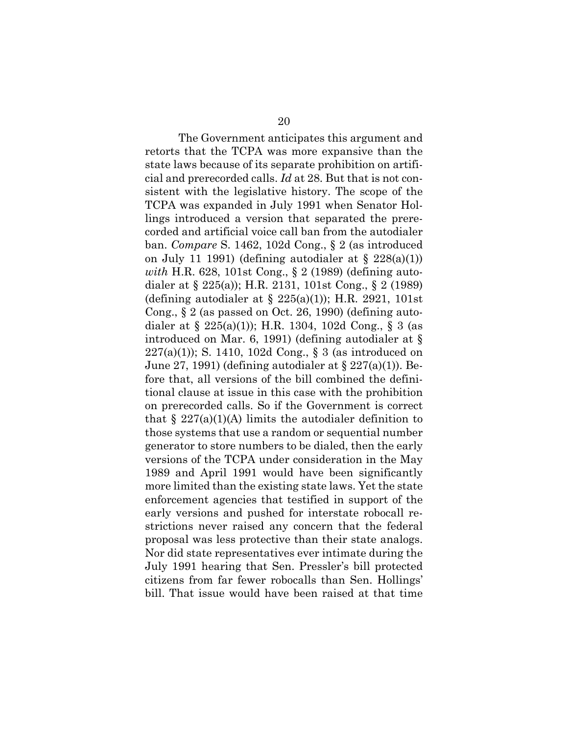The Government anticipates this argument and retorts that the TCPA was more expansive than the state laws because of its separate prohibition on artificial and prerecorded calls. *Id* at 28. But that is not consistent with the legislative history. The scope of the TCPA was expanded in July 1991 when Senator Hollings introduced a version that separated the prerecorded and artificial voice call ban from the autodialer ban. *Compare* S. 1462, 102d Cong., § 2 (as introduced on July 11 1991) (defining autodialer at  $\S$  228(a)(1)) *with* H.R. 628, 101st Cong., § 2 (1989) (defining autodialer at § 225(a)); H.R. 2131, 101st Cong., § 2 (1989) (defining autodialer at  $\S$  225(a)(1)); H.R. 2921, 101st Cong.,  $\S 2$  (as passed on Oct. 26, 1990) (defining autodialer at § 225(a)(1)); H.R. 1304, 102d Cong., § 3 (as introduced on Mar. 6, 1991) (defining autodialer at §  $227(a)(1)$ ; S. 1410, 102d Cong., § 3 (as introduced on June 27, 1991) (defining autodialer at  $\S 227(a)(1)$ ). Before that, all versions of the bill combined the definitional clause at issue in this case with the prohibition on prerecorded calls. So if the Government is correct that  $\S 227(a)(1)(A)$  limits the autodialer definition to those systems that use a random or sequential number generator to store numbers to be dialed, then the early versions of the TCPA under consideration in the May 1989 and April 1991 would have been significantly more limited than the existing state laws. Yet the state enforcement agencies that testified in support of the early versions and pushed for interstate robocall restrictions never raised any concern that the federal proposal was less protective than their state analogs. Nor did state representatives ever intimate during the July 1991 hearing that Sen. Pressler's bill protected citizens from far fewer robocalls than Sen. Hollings' bill. That issue would have been raised at that time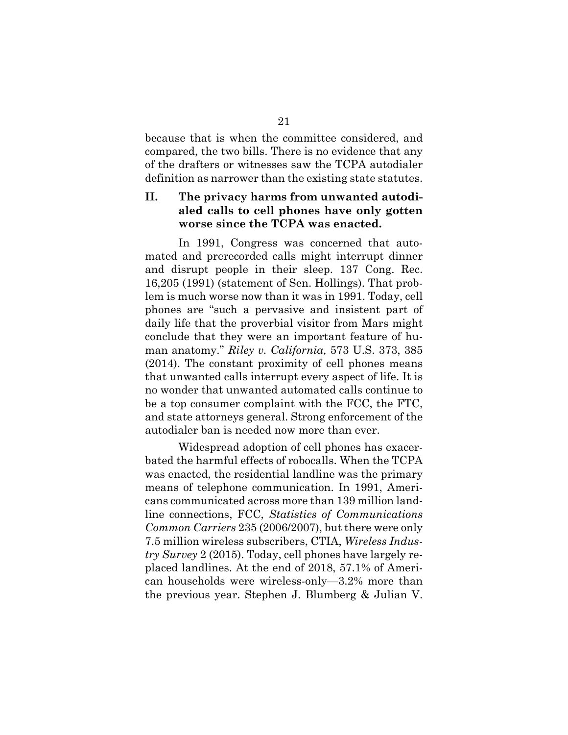because that is when the committee considered, and compared, the two bills. There is no evidence that any of the drafters or witnesses saw the TCPA autodialer definition as narrower than the existing state statutes.

## **II. The privacy harms from unwanted autodialed calls to cell phones have only gotten worse since the TCPA was enacted.**

In 1991, Congress was concerned that automated and prerecorded calls might interrupt dinner and disrupt people in their sleep. 137 Cong. Rec. 16,205 (1991) (statement of Sen. Hollings). That problem is much worse now than it was in 1991. Today, cell phones are "such a pervasive and insistent part of daily life that the proverbial visitor from Mars might conclude that they were an important feature of human anatomy." *Riley v. California,* 573 U.S. 373, 385 (2014). The constant proximity of cell phones means that unwanted calls interrupt every aspect of life. It is no wonder that unwanted automated calls continue to be a top consumer complaint with the FCC, the FTC, and state attorneys general. Strong enforcement of the autodialer ban is needed now more than ever.

Widespread adoption of cell phones has exacerbated the harmful effects of robocalls. When the TCPA was enacted, the residential landline was the primary means of telephone communication. In 1991, Americans communicated across more than 139 million landline connections, FCC, *Statistics of Communications Common Carriers* 235 (2006/2007), but there were only 7.5 million wireless subscribers, CTIA, *Wireless Industry Survey* 2 (2015). Today, cell phones have largely replaced landlines. At the end of 2018, 57.1% of American households were wireless-only—3.2% more than the previous year. Stephen J. Blumberg & Julian V.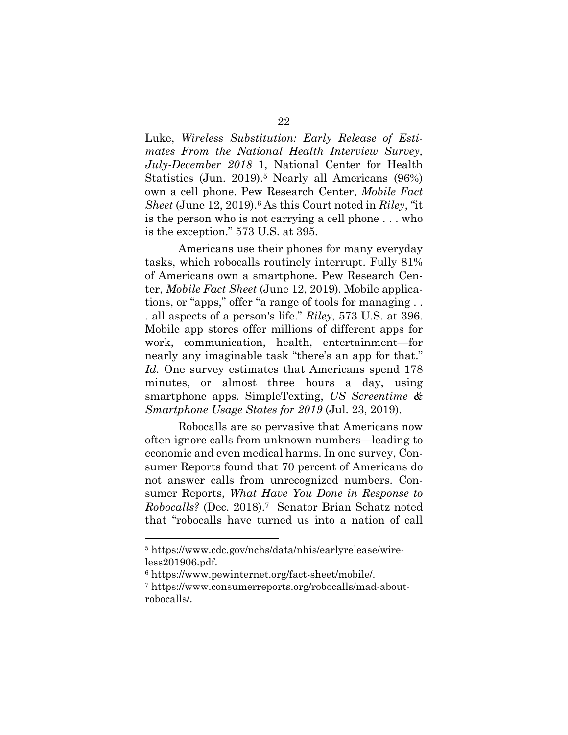Luke, *Wireless Substitution: Early Release of Estimates From the National Health Interview Survey, July-December 2018* 1, National Center for Health Statistics (Jun. 2019).<sup>5</sup> Nearly all Americans (96%) own a cell phone. Pew Research Center, *Mobile Fact Sheet* (June 12, 2019).6 As this Court noted in *Riley*, "it is the person who is not carrying a cell phone . . . who is the exception." 573 U.S. at 395.

Americans use their phones for many everyday tasks, which robocalls routinely interrupt. Fully 81% of Americans own a smartphone. Pew Research Center, *Mobile Fact Sheet* (June 12, 2019)*.* Mobile applications, or "apps," offer "a range of tools for managing . . . all aspects of a person's life." *Riley*, 573 U.S. at 396. Mobile app stores offer millions of different apps for work, communication, health, entertainment—for nearly any imaginable task "there's an app for that." *Id.* One survey estimates that Americans spend 178 minutes, or almost three hours a day, using smartphone apps. SimpleTexting, *US Screentime & Smartphone Usage States for 2019* (Jul. 23, 2019).

Robocalls are so pervasive that Americans now often ignore calls from unknown numbers—leading to economic and even medical harms. In one survey, Consumer Reports found that 70 percent of Americans do not answer calls from unrecognized numbers. Consumer Reports, *What Have You Done in Response to Robocalls?* (Dec. 2018).7 Senator Brian Schatz noted that "robocalls have turned us into a nation of call

<sup>5</sup> https://www.cdc.gov/nchs/data/nhis/earlyrelease/wireless201906.pdf.

<sup>6</sup> https://www.pewinternet.org/fact-sheet/mobile/.

<sup>7</sup> https://www.consumerreports.org/robocalls/mad-aboutrobocalls/.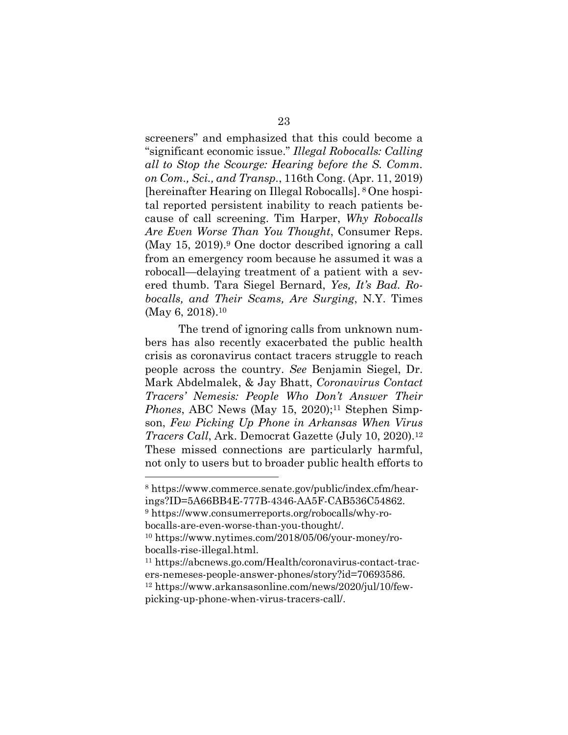screeners" and emphasized that this could become a "significant economic issue." *Illegal Robocalls: Calling all to Stop the Scourge: Hearing before the S. Comm. on Com., Sci., and Transp.*, 116th Cong. (Apr. 11, 2019) [hereinafter Hearing on Illegal Robocalls]. <sup>8</sup> One hospital reported persistent inability to reach patients because of call screening. Tim Harper, *Why Robocalls Are Even Worse Than You Thought*, Consumer Reps. (May 15, 2019).9 One doctor described ignoring a call from an emergency room because he assumed it was a robocall—delaying treatment of a patient with a severed thumb. Tara Siegel Bernard, *Yes, It's Bad. Robocalls, and Their Scams, Are Surging*, N.Y. Times (May 6, 2018).<sup>10</sup>

The trend of ignoring calls from unknown numbers has also recently exacerbated the public health crisis as coronavirus contact tracers struggle to reach people across the country. *See* Benjamin Siegel, Dr. Mark Abdelmalek, & Jay Bhatt, *Coronavirus Contact Tracers' Nemesis: People Who Don't Answer Their Phones*, ABC News (May 15, 2020);<sup>11</sup> Stephen Simpson, *Few Picking Up Phone in Arkansas When Virus Tracers Call*, Ark. Democrat Gazette (July 10, 2020).12 These missed connections are particularly harmful, not only to users but to broader public health efforts to

<sup>9</sup> https://www.consumerreports.org/robocalls/why-robocalls-are-even-worse-than-you-thought/.

<sup>11</sup> https://abcnews.go.com/Health/coronavirus-contact-tracers-nemeses-people-answer-phones/story?id=70693586. <sup>12</sup> https://www.arkansasonline.com/news/2020/jul/10/few-

<sup>8</sup> https://www.commerce.senate.gov/public/index.cfm/hearings?ID=5A66BB4E-777B-4346-AA5F-CAB536C54862.

<sup>10</sup> https://www.nytimes.com/2018/05/06/your-money/robocalls-rise-illegal.html.

picking-up-phone-when-virus-tracers-call/.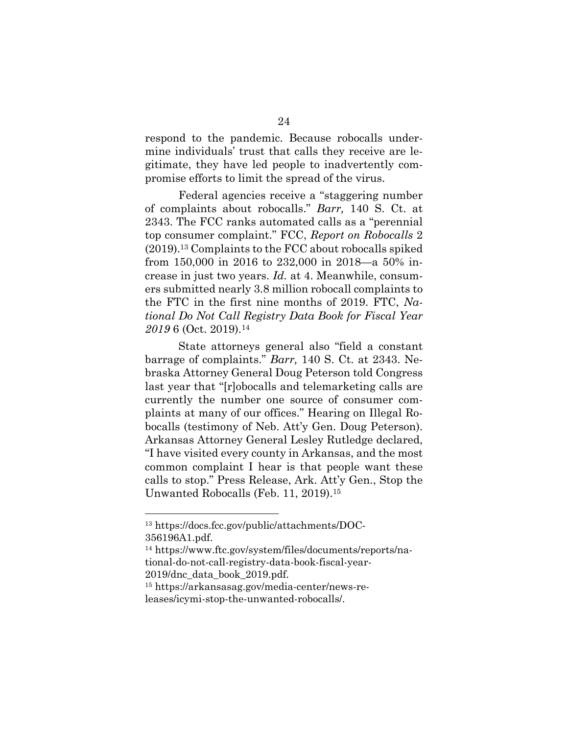respond to the pandemic. Because robocalls undermine individuals' trust that calls they receive are legitimate, they have led people to inadvertently compromise efforts to limit the spread of the virus.

Federal agencies receive a "staggering number of complaints about robocalls." *Barr,* 140 S. Ct. at 2343. The FCC ranks automated calls as a "perennial top consumer complaint." FCC, *Report on Robocalls* 2 (2019).13 Complaints to the FCC about robocalls spiked from 150,000 in 2016 to 232,000 in 2018—a 50% increase in just two years. *Id.* at 4. Meanwhile, consumers submitted nearly 3.8 million robocall complaints to the FTC in the first nine months of 2019. FTC, *National Do Not Call Registry Data Book for Fiscal Year 2019* 6 (Oct. 2019).<sup>14</sup>

State attorneys general also "field a constant barrage of complaints." *Barr,* 140 S. Ct. at 2343. Nebraska Attorney General Doug Peterson told Congress last year that "[r]obocalls and telemarketing calls are currently the number one source of consumer complaints at many of our offices." Hearing on Illegal Robocalls (testimony of Neb. Att'y Gen. Doug Peterson). Arkansas Attorney General Lesley Rutledge declared, "I have visited every county in Arkansas, and the most common complaint I hear is that people want these calls to stop." Press Release, Ark. Att'y Gen., Stop the Unwanted Robocalls (Feb. 11, 2019).15

<sup>13</sup> https://docs.fcc.gov/public/attachments/DOC-356196A1.pdf.

<sup>14</sup> https://www.ftc.gov/system/files/documents/reports/national-do-not-call-registry-data-book-fiscal-year-2019/dnc\_data\_book\_2019.pdf.

<sup>15</sup> https://arkansasag.gov/media-center/news-re-

leases/icymi-stop-the-unwanted-robocalls/.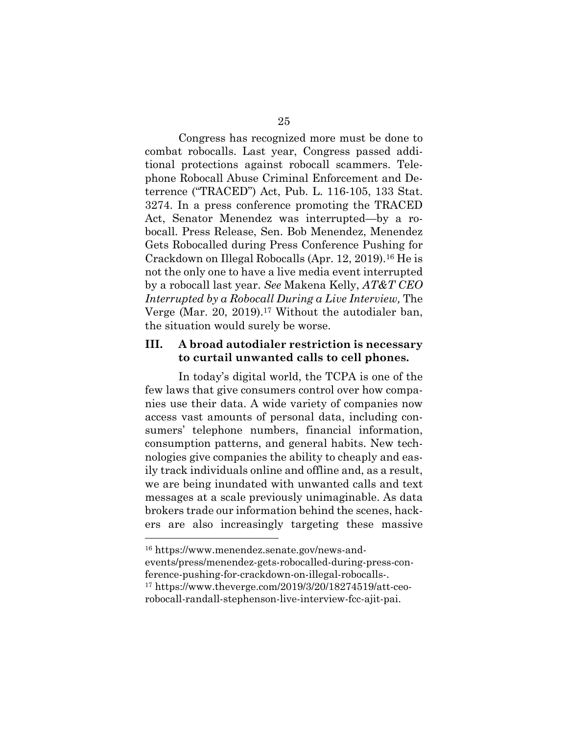Congress has recognized more must be done to combat robocalls. Last year, Congress passed additional protections against robocall scammers. Telephone Robocall Abuse Criminal Enforcement and Deterrence ("TRACED") Act, Pub. L. 116-105, 133 Stat. 3274. In a press conference promoting the TRACED Act, Senator Menendez was interrupted—by a robocall. Press Release, Sen. Bob Menendez, Menendez Gets Robocalled during Press Conference Pushing for Crackdown on Illegal Robocalls (Apr. 12, 2019).<sup>16</sup> He is not the only one to have a live media event interrupted by a robocall last year. *See* Makena Kelly, *AT&T CEO Interrupted by a Robocall During a Live Interview,* The Verge (Mar. 20, 2019).<sup>17</sup> Without the autodialer ban, the situation would surely be worse.

### **III. A broad autodialer restriction is necessary to curtail unwanted calls to cell phones.**

In today's digital world, the TCPA is one of the few laws that give consumers control over how companies use their data. A wide variety of companies now access vast amounts of personal data, including consumers' telephone numbers, financial information, consumption patterns, and general habits. New technologies give companies the ability to cheaply and easily track individuals online and offline and, as a result, we are being inundated with unwanted calls and text messages at a scale previously unimaginable. As data brokers trade our information behind the scenes, hackers are also increasingly targeting these massive

<sup>16</sup> https://www.menendez.senate.gov/news-andevents/press/menendez-gets-robocalled-during-press-conference-pushing-for-crackdown-on-illegal-robocalls-. <sup>17</sup> https://www.theverge.com/2019/3/20/18274519/att-ceorobocall-randall-stephenson-live-interview-fcc-ajit-pai.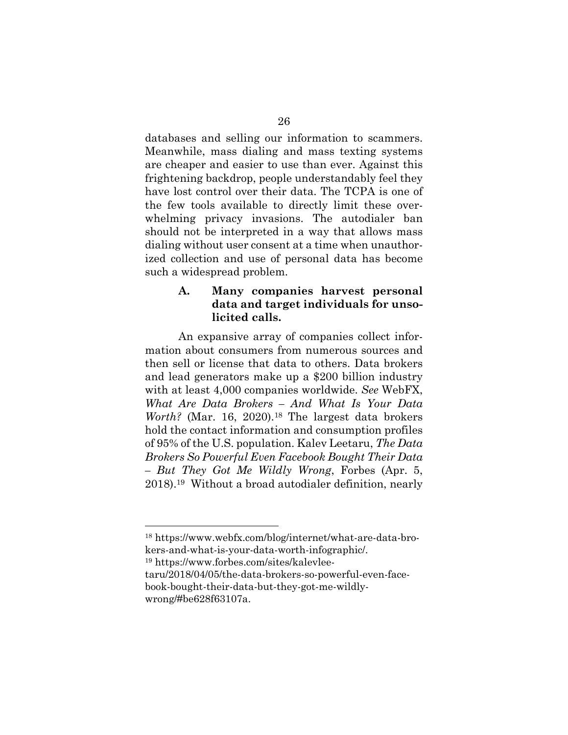databases and selling our information to scammers. Meanwhile, mass dialing and mass texting systems are cheaper and easier to use than ever. Against this frightening backdrop, people understandably feel they have lost control over their data. The TCPA is one of the few tools available to directly limit these overwhelming privacy invasions. The autodialer ban should not be interpreted in a way that allows mass dialing without user consent at a time when unauthorized collection and use of personal data has become such a widespread problem.

## **A. Many companies harvest personal data and target individuals for unsolicited calls.**

An expansive array of companies collect information about consumers from numerous sources and then sell or license that data to others. Data brokers and lead generators make up a \$200 billion industry with at least 4,000 companies worldwide. *See* WebFX, *What Are Data Brokers – And What Is Your Data Worth?* (Mar. 16, 2020).<sup>18</sup> The largest data brokers hold the contact information and consumption profiles of 95% of the U.S. population. Kalev Leetaru, *The Data Brokers So Powerful Even Facebook Bought Their Data – But They Got Me Wildly Wrong*, Forbes (Apr. 5, 2018).19 Without a broad autodialer definition, nearly

<sup>19</sup> https://www.forbes.com/sites/kalevlee-

<sup>18</sup> https://www.webfx.com/blog/internet/what-are-data-brokers-and-what-is-your-data-worth-infographic/.

taru/2018/04/05/the-data-brokers-so-powerful-even-facebook-bought-their-data-but-they-got-me-wildlywrong/#be628f63107a.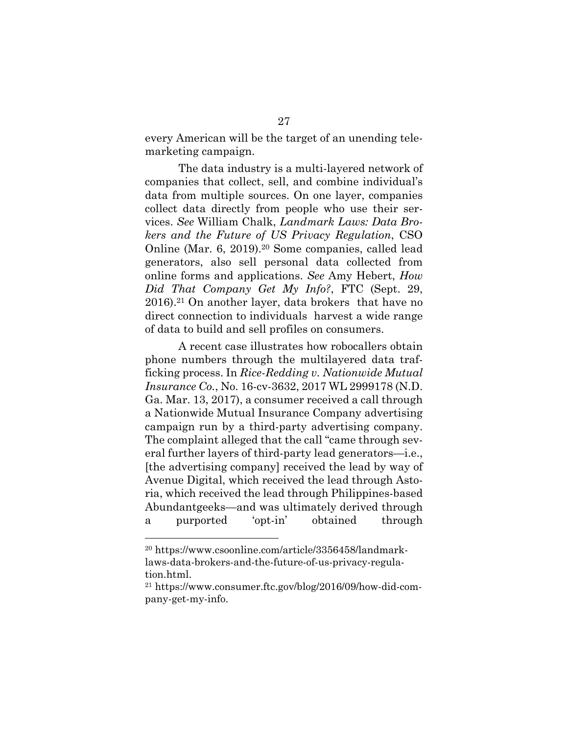every American will be the target of an unending telemarketing campaign.

The data industry is a multi-layered network of companies that collect, sell, and combine individual's data from multiple sources. On one layer, companies collect data directly from people who use their services. *See* William Chalk, *Landmark Laws: Data Brokers and the Future of US Privacy Regulation*, CSO Online (Mar. 6, 2019).20 Some companies, called lead generators, also sell personal data collected from online forms and applications. *See* Amy Hebert, *How Did That Company Get My Info?*, FTC (Sept. 29, 2016).21 On another layer, data brokers that have no direct connection to individuals harvest a wide range of data to build and sell profiles on consumers.

A recent case illustrates how robocallers obtain phone numbers through the multilayered data trafficking process. In *Rice-Redding v. Nationwide Mutual Insurance Co.*, No. 16-cv-3632, 2017 WL 2999178 (N.D. Ga. Mar. 13, 2017), a consumer received a call through a Nationwide Mutual Insurance Company advertising campaign run by a third-party advertising company. The complaint alleged that the call "came through several further layers of third-party lead generators—i.e., [the advertising company] received the lead by way of Avenue Digital, which received the lead through Astoria, which received the lead through Philippines-based Abundantgeeks—and was ultimately derived through a purported 'opt-in' obtained through

<sup>20</sup> https://www.csoonline.com/article/3356458/landmarklaws-data-brokers-and-the-future-of-us-privacy-regulation.html.

<sup>21</sup> https://www.consumer.ftc.gov/blog/2016/09/how-did-company-get-my-info.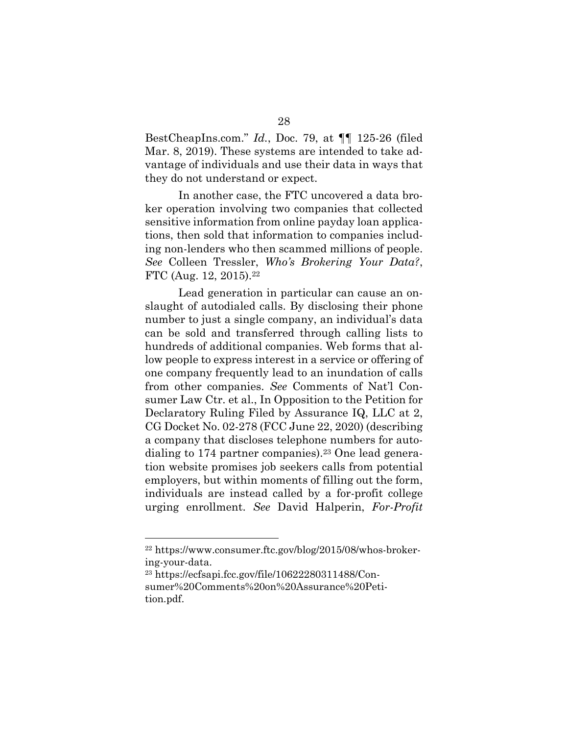BestCheapIns.com." *Id.*, Doc. 79, at ¶¶ 125-26 (filed Mar. 8, 2019). These systems are intended to take advantage of individuals and use their data in ways that they do not understand or expect.

In another case, the FTC uncovered a data broker operation involving two companies that collected sensitive information from online payday loan applications, then sold that information to companies including non-lenders who then scammed millions of people. *See* Colleen Tressler, *Who's Brokering Your Data?*, FTC (Aug. 12, 2015).22

Lead generation in particular can cause an onslaught of autodialed calls. By disclosing their phone number to just a single company, an individual's data can be sold and transferred through calling lists to hundreds of additional companies. Web forms that allow people to express interest in a service or offering of one company frequently lead to an inundation of calls from other companies. *See* Comments of Nat'l Consumer Law Ctr. et al., In Opposition to the Petition for Declaratory Ruling Filed by Assurance IQ, LLC at 2, CG Docket No. 02-278 (FCC June 22, 2020) (describing a company that discloses telephone numbers for autodialing to  $174$  partner companies).<sup>23</sup> One lead generation website promises job seekers calls from potential employers, but within moments of filling out the form, individuals are instead called by a for-profit college urging enrollment. *See* David Halperin, *For-Profit* 

<sup>22</sup> https://www.consumer.ftc.gov/blog/2015/08/whos-brokering-your-data.

<sup>23</sup> https://ecfsapi.fcc.gov/file/10622280311488/Consumer%20Comments%20on%20Assurance%20Petition.pdf.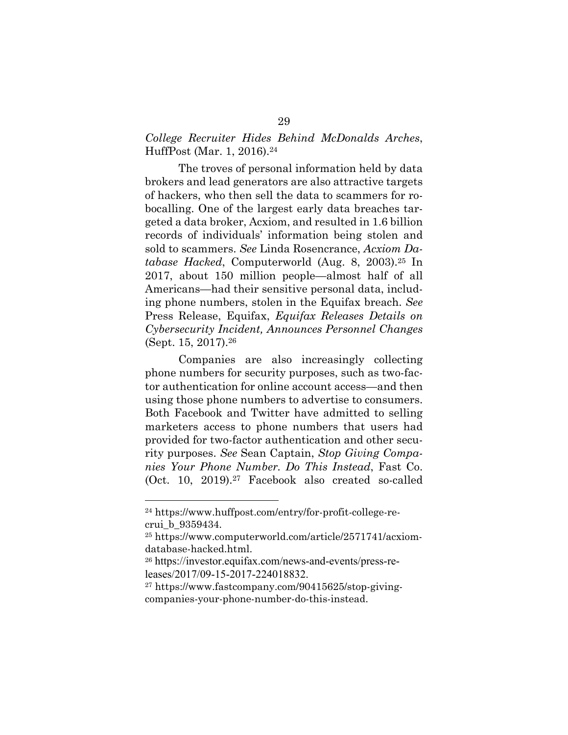## *College Recruiter Hides Behind McDonalds Arches*, HuffPost (Mar. 1, 2016).24

The troves of personal information held by data brokers and lead generators are also attractive targets of hackers, who then sell the data to scammers for robocalling. One of the largest early data breaches targeted a data broker, Acxiom, and resulted in 1.6 billion records of individuals' information being stolen and sold to scammers. *See* Linda Rosencrance, *Acxiom Database Hacked*, Computerworld (Aug. 8, 2003).25 In 2017, about 150 million people—almost half of all Americans—had their sensitive personal data, including phone numbers, stolen in the Equifax breach. *See* Press Release, Equifax, *Equifax Releases Details on Cybersecurity Incident, Announces Personnel Changes* (Sept. 15, 2017).26

Companies are also increasingly collecting phone numbers for security purposes, such as two-factor authentication for online account access—and then using those phone numbers to advertise to consumers. Both Facebook and Twitter have admitted to selling marketers access to phone numbers that users had provided for two-factor authentication and other security purposes. *See* Sean Captain, *Stop Giving Companies Your Phone Number. Do This Instead*, Fast Co. (Oct. 10, 2019).27 Facebook also created so-called

<sup>24</sup> https://www.huffpost.com/entry/for-profit-college-recrui\_b\_9359434.

<sup>25</sup> https://www.computerworld.com/article/2571741/acxiomdatabase-hacked.html.

<sup>26</sup> https://investor.equifax.com/news-and-events/press-releases/2017/09-15-2017-224018832.

<sup>27</sup> https://www.fastcompany.com/90415625/stop-givingcompanies-your-phone-number-do-this-instead.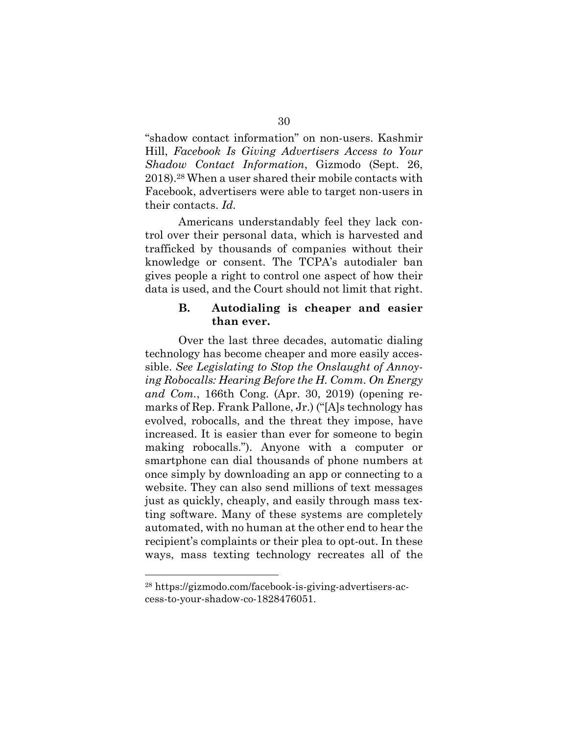"shadow contact information" on non-users. Kashmir Hill, *Facebook Is Giving Advertisers Access to Your Shadow Contact Information*, Gizmodo (Sept. 26, 2018).<sup>28</sup> When a user shared their mobile contacts with Facebook, advertisers were able to target non-users in their contacts. *Id.*

Americans understandably feel they lack control over their personal data, which is harvested and trafficked by thousands of companies without their knowledge or consent. The TCPA's autodialer ban gives people a right to control one aspect of how their data is used, and the Court should not limit that right.

### **B. Autodialing is cheaper and easier than ever.**

Over the last three decades, automatic dialing technology has become cheaper and more easily accessible. *See Legislating to Stop the Onslaught of Annoying Robocalls: Hearing Before the H. Comm. On Energy and Com.*, 166th Cong. (Apr. 30, 2019) (opening remarks of Rep. Frank Pallone, Jr.) ("[A]s technology has evolved, robocalls, and the threat they impose, have increased. It is easier than ever for someone to begin making robocalls."). Anyone with a computer or smartphone can dial thousands of phone numbers at once simply by downloading an app or connecting to a website. They can also send millions of text messages just as quickly, cheaply, and easily through mass texting software. Many of these systems are completely automated, with no human at the other end to hear the recipient's complaints or their plea to opt-out. In these ways, mass texting technology recreates all of the

<sup>28</sup> https://gizmodo.com/facebook-is-giving-advertisers-access-to-your-shadow-co-1828476051.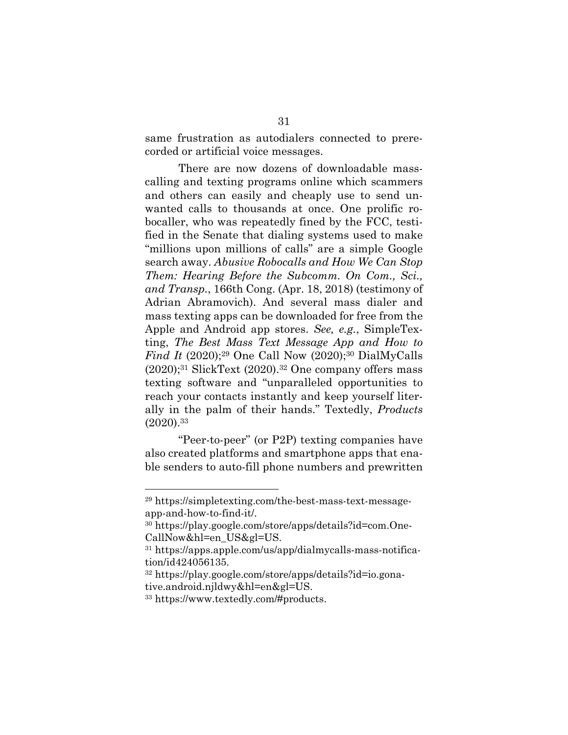same frustration as autodialers connected to prerecorded or artificial voice messages.

There are now dozens of downloadable masscalling and texting programs online which scammers and others can easily and cheaply use to send unwanted calls to thousands at once. One prolific robocaller, who was repeatedly fined by the FCC, testified in the Senate that dialing systems used to make "millions upon millions of calls" are a simple Google search away. *Abusive Robocalls and How We Can Stop Them: Hearing Before the Subcomm. On Com., Sci., and Transp.*, 166th Cong. (Apr. 18, 2018) (testimony of Adrian Abramovich). And several mass dialer and mass texting apps can be downloaded for free from the Apple and Android app stores. *See, e.g.*, SimpleTexting, *The Best Mass Text Message App and How to Find It* (2020);<sup>29</sup> One Call Now (2020);<sup>30</sup> DialMyCalls  $(2020);$ <sup>31</sup> SlickText  $(2020).$ <sup>32</sup> One company offers mass texting software and "unparalleled opportunities to reach your contacts instantly and keep yourself literally in the palm of their hands." Textedly, *Products* (2020).33

"Peer-to-peer" (or P2P) texting companies have also created platforms and smartphone apps that enable senders to auto-fill phone numbers and prewritten

<sup>29</sup> https://simpletexting.com/the-best-mass-text-messageapp-and-how-to-find-it/.

<sup>30</sup> https://play.google.com/store/apps/details?id=com.One-CallNow&hl=en\_US&gl=US.

<sup>31</sup> https://apps.apple.com/us/app/dialmycalls-mass-notification/id424056135.

<sup>32</sup> https://play.google.com/store/apps/details?id=io.gonative.android.njldwy&hl=en&gl=US.

<sup>33</sup> https://www.textedly.com/#products.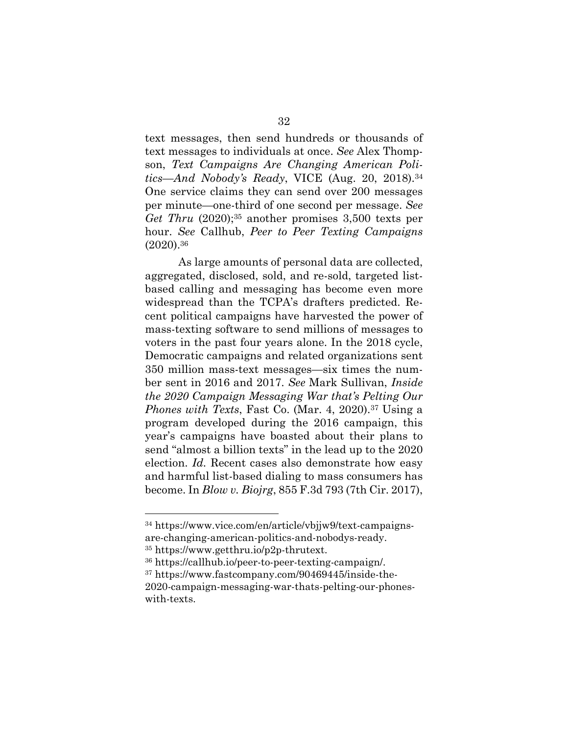text messages, then send hundreds or thousands of text messages to individuals at once. *See* Alex Thompson, *Text Campaigns Are Changing American Politics—And Nobody's Ready*, VICE (Aug. 20, 2018).34 One service claims they can send over 200 messages per minute—one-third of one second per message. *See Get Thru* (2020);35 another promises 3,500 texts per hour. *See* Callhub, *Peer to Peer Texting Campaigns* (2020).36

As large amounts of personal data are collected, aggregated, disclosed, sold, and re-sold, targeted listbased calling and messaging has become even more widespread than the TCPA's drafters predicted. Recent political campaigns have harvested the power of mass-texting software to send millions of messages to voters in the past four years alone. In the 2018 cycle, Democratic campaigns and related organizations sent 350 million mass-text messages—six times the number sent in 2016 and 2017. *See* Mark Sullivan, *Inside the 2020 Campaign Messaging War that's Pelting Our Phones with Texts*, Fast Co. (Mar. 4, 2020).37 Using a program developed during the 2016 campaign, this year's campaigns have boasted about their plans to send "almost a billion texts" in the lead up to the 2020 election. *Id.* Recent cases also demonstrate how easy and harmful list-based dialing to mass consumers has become. In *Blow v. Biojrg*, 855 F.3d 793 (7th Cir. 2017),

<sup>34</sup> https://www.vice.com/en/article/vbjjw9/text-campaignsare-changing-american-politics-and-nobodys-ready.

<sup>35</sup> https://www.getthru.io/p2p-thrutext.

<sup>36</sup> https://callhub.io/peer-to-peer-texting-campaign/.

<sup>37</sup> https://www.fastcompany.com/90469445/inside-the-

<sup>2020-</sup>campaign-messaging-war-thats-pelting-our-phoneswith-texts.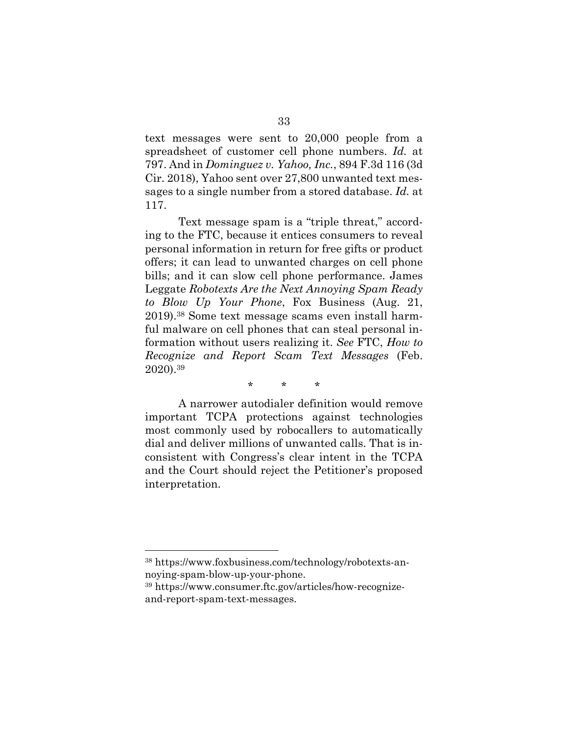text messages were sent to 20,000 people from a spreadsheet of customer cell phone numbers. *Id.* at 797. And in *Dominguez v. Yahoo, Inc.*, 894 F.3d 116 (3d Cir. 2018), Yahoo sent over 27,800 unwanted text messages to a single number from a stored database. *Id.* at 117.

Text message spam is a "triple threat," according to the FTC, because it entices consumers to reveal personal information in return for free gifts or product offers; it can lead to unwanted charges on cell phone bills; and it can slow cell phone performance. James Leggate *Robotexts Are the Next Annoying Spam Ready to Blow Up Your Phone*, Fox Business (Aug. 21, 2019).38 Some text message scams even install harmful malware on cell phones that can steal personal information without users realizing it. *See* FTC, *How to Recognize and Report Scam Text Messages* (Feb. 2020).39

\* \* \*

A narrower autodialer definition would remove important TCPA protections against technologies most commonly used by robocallers to automatically dial and deliver millions of unwanted calls. That is inconsistent with Congress's clear intent in the TCPA and the Court should reject the Petitioner's proposed interpretation.

<sup>38</sup> https://www.foxbusiness.com/technology/robotexts-annoying-spam-blow-up-your-phone.

<sup>39</sup> https://www.consumer.ftc.gov/articles/how-recognizeand-report-spam-text-messages.